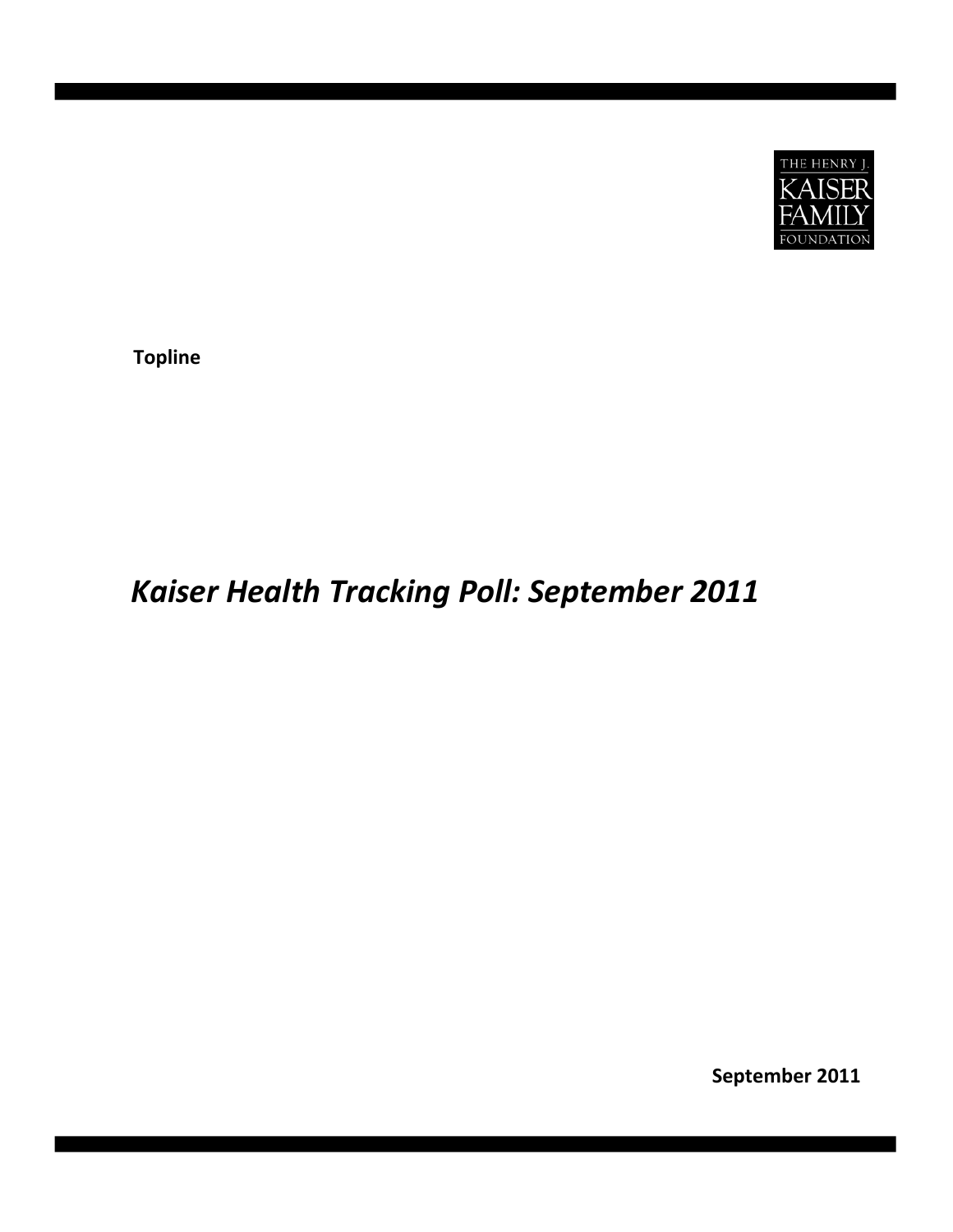

**Topline**

# *Kaiser Health Tracking Poll: September 2011*

**September 2011**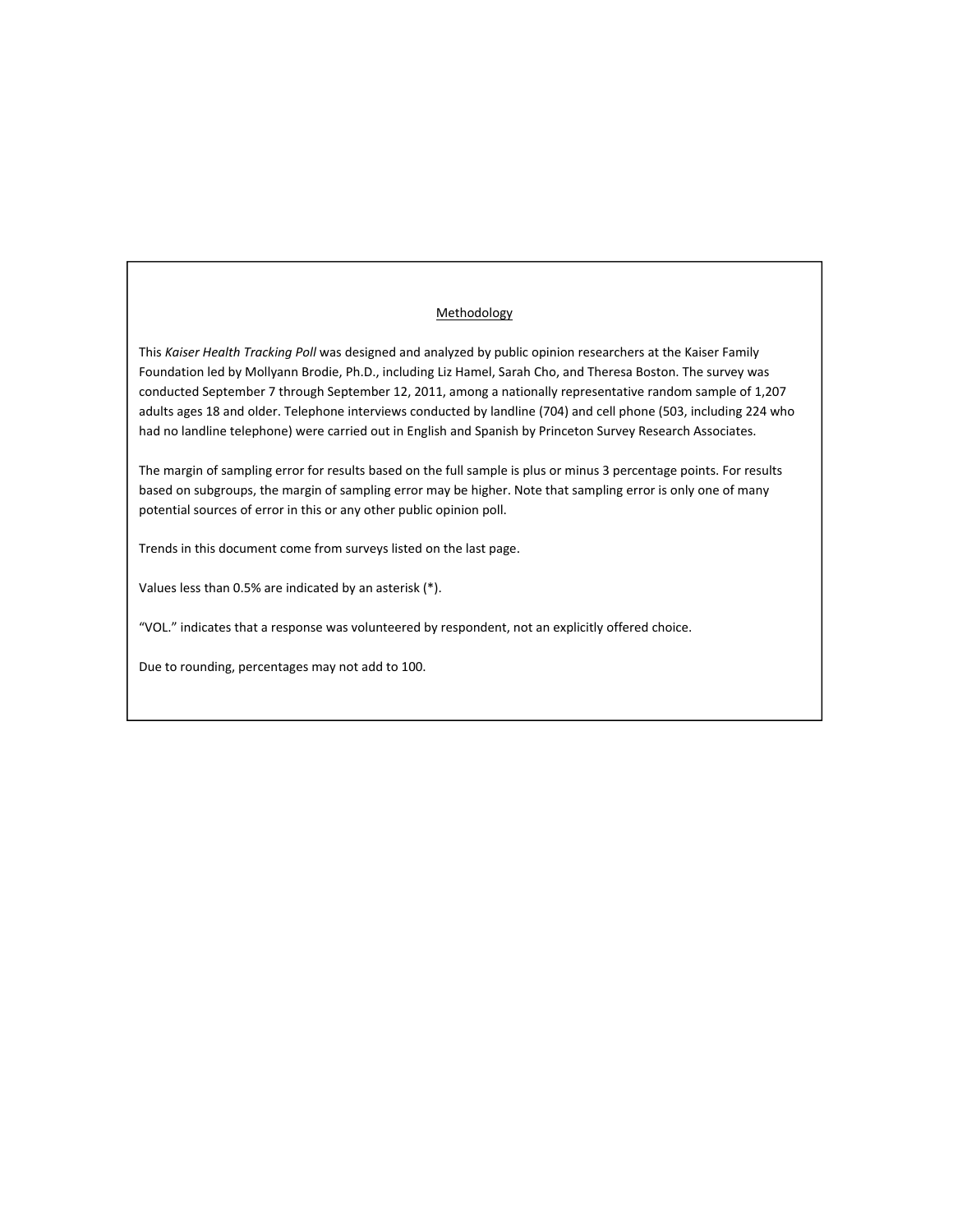# **Methodology**

This *Kaiser Health Tracking Poll* was designed and analyzed by public opinion researchers at the Kaiser Family Foundation led by Mollyann Brodie, Ph.D., including Liz Hamel, Sarah Cho, and Theresa Boston. The survey was conducted September 7 through September 12, 2011, among a nationally representative random sample of 1,207 adults ages 18 and older. Telephone interviews conducted by landline (704) and cell phone (503, including 224 who had no landline telephone) were carried out in English and Spanish by Princeton Survey Research Associates.

The margin of sampling error for results based on the full sample is plus or minus 3 percentage points. For results based on subgroups, the margin of sampling error may be higher. Note that sampling error is only one of many potential sources of error in this or any other public opinion poll.

Trends in this document come from surveys listed on the last page.

Values less than 0.5% are indicated by an asterisk (\*).

"VOL." indicates that a response was volunteered by respondent, not an explicitly offered choice.

Due to rounding, percentages may not add to 100.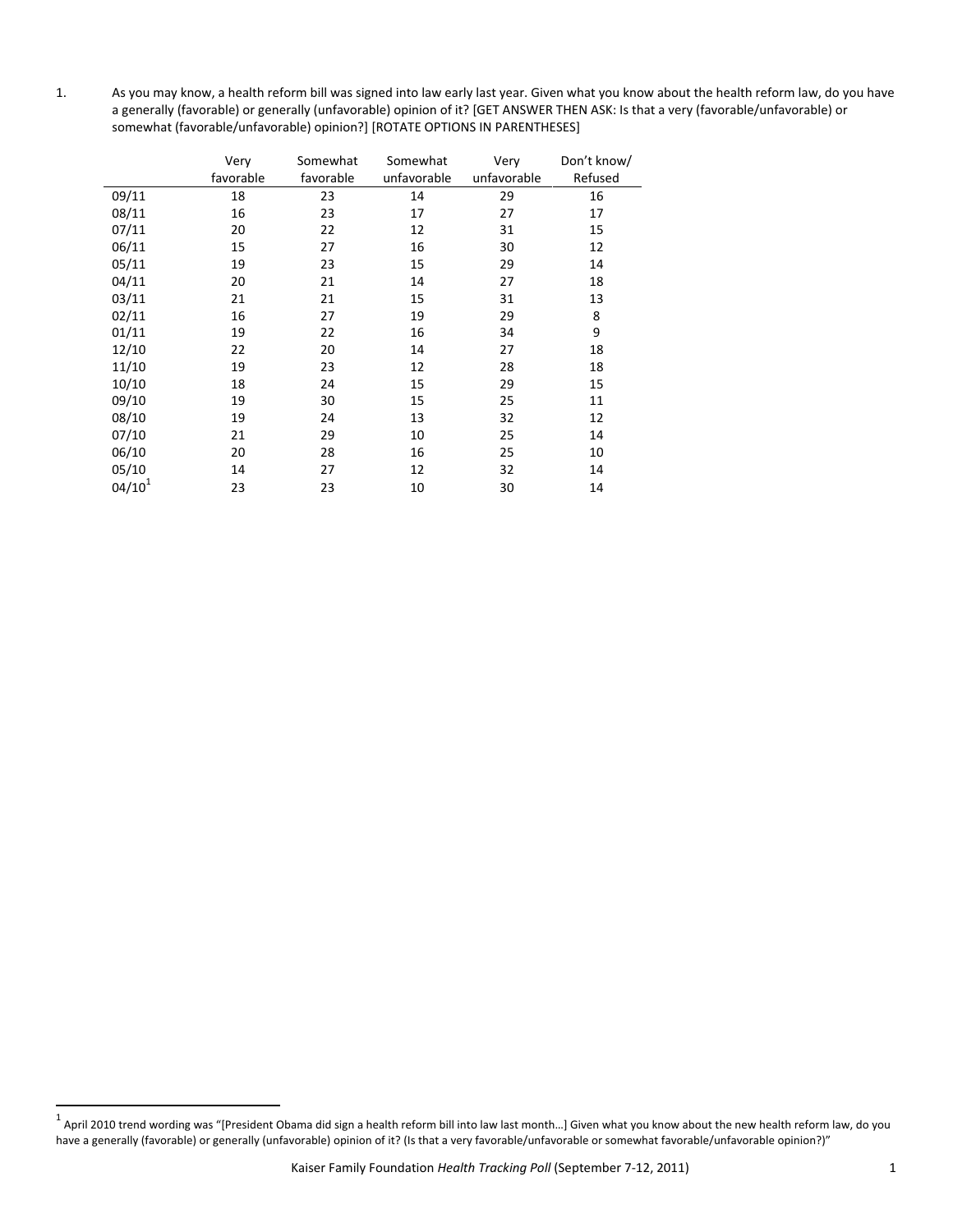1. As you may know, a health reform bill was signed into law early last year. Given what you know about the health reform law, do you have a generally (favorable) or generally (unfavorable) opinion of it? [GET ANSWER THEN ASK: Is that a very (favorable/unfavorable) or somewhat (favorable/unfavorable) opinion?] [ROTATE OPTIONS IN PARENTHESES]

|             | Very      | Somewhat  | Somewhat    | Very        | Don't know/ |
|-------------|-----------|-----------|-------------|-------------|-------------|
|             | favorable | favorable | unfavorable | unfavorable | Refused     |
| 09/11       | 18        | 23        | 14          | 29          | 16          |
| 08/11       | 16        | 23        | 17          | 27          | 17          |
| 07/11       | 20        | 22        | 12          | 31          | 15          |
| 06/11       | 15        | 27        | 16          | 30          | 12          |
| 05/11       | 19        | 23        | 15          | 29          | 14          |
| 04/11       | 20        | 21        | 14          | 27          | 18          |
| 03/11       | 21        | 21        | 15          | 31          | 13          |
| 02/11       | 16        | 27        | 19          | 29          | 8           |
| 01/11       | 19        | 22        | 16          | 34          | 9           |
| 12/10       | 22        | 20        | 14          | 27          | 18          |
| 11/10       | 19        | 23        | 12          | 28          | 18          |
| 10/10       | 18        | 24        | 15          | 29          | 15          |
| 09/10       | 19        | 30        | 15          | 25          | 11          |
| 08/10       | 19        | 24        | 13          | 32          | 12          |
| 07/10       | 21        | 29        | 10          | 25          | 14          |
| 06/10       | 20        | 28        | 16          | 25          | 10          |
| 05/10       | 14        | 27        | 12          | 32          | 14          |
| $04/10^{1}$ | 23        | 23        | 10          | 30          | 14          |

 $^{\rm 1}$  April 2010 trend wording was "[President Obama did sign a health reform bill into law last month…] Given what you know about the new health reform law, do you have a generally (favorable) or generally (unfavorable) opinion of it? (Is that a very favorable/unfavorable or somewhat favorable/unfavorable opinion?)"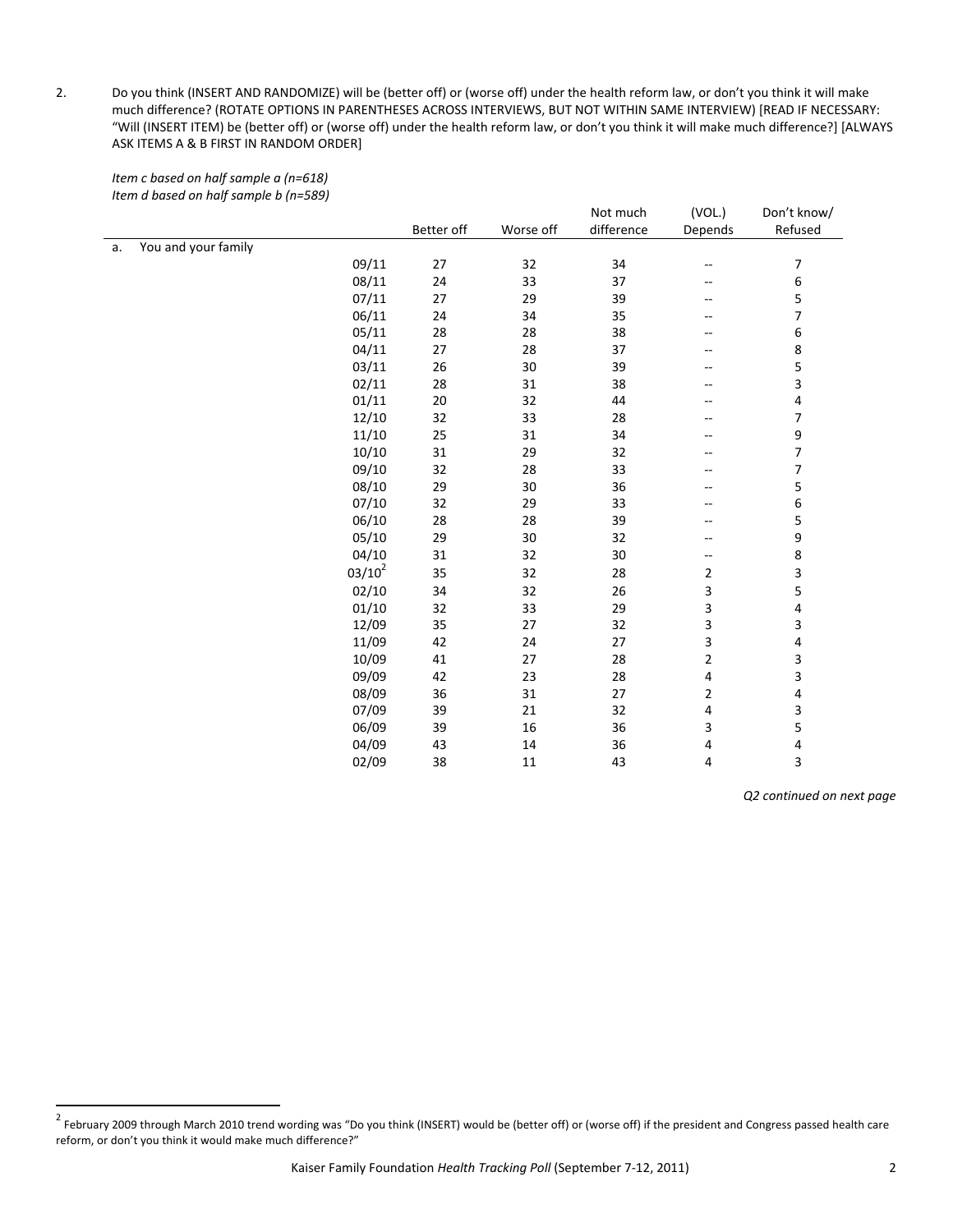2. Do you think (INSERT AND RANDOMIZE) will be (better off) or (worse off) under the health reform law, or don't you think it will make much difference? (ROTATE OPTIONS IN PARENTHESES ACROSS INTERVIEWS, BUT NOT WITHIN SAME INTERVIEW) [READ IF NECESSARY: "Will (INSERT ITEM) be (better off) or (worse off) under the health reform law, or don't you think it will make much difference?] [ALWAYS ASK ITEMS A & B FIRST IN RANDOM ORDER]

|    | $-0.00$             | Better off | Worse off | Not much<br>difference | (VOL.)<br>Depends        | Don't know/<br>Refused   |
|----|---------------------|------------|-----------|------------------------|--------------------------|--------------------------|
|    | You and your family |            |           |                        |                          |                          |
| a. | 09/11               | 27         | 32        | 34                     |                          |                          |
|    | 08/11               | 24         | 33        | 37                     | $\overline{\phantom{m}}$ | 7                        |
|    |                     |            |           |                        | --                       | 6                        |
|    | 07/11               | 27         | 29        | 39                     | --                       | 5<br>$\overline{7}$      |
|    | 06/11               | 24         | 34        | 35                     | --                       |                          |
|    | 05/11               | 28         | 28        | 38                     | --                       | 6                        |
|    | 04/11               | 27         | 28        | 37                     | --                       | 8                        |
|    | 03/11               | 26         | 30        | 39                     | --                       | 5                        |
|    | 02/11               | 28         | 31        | 38                     | --                       | $\overline{\mathbf{3}}$  |
|    | 01/11               | $20\,$     | 32        | 44                     | --                       | 4                        |
|    | 12/10               | 32         | 33        | 28                     | --                       | 7                        |
|    | 11/10               | 25         | 31        | 34                     | --                       | 9                        |
|    | 10/10               | 31         | 29        | 32                     | --                       | 7                        |
|    | 09/10               | 32         | 28        | 33                     | --                       | $\overline{\phantom{a}}$ |
|    | 08/10               | 29         | 30        | 36                     | --                       | 5                        |
|    | 07/10               | 32         | 29        | 33                     | --                       | 6                        |
|    | 06/10               | 28         | 28        | 39                     | --                       | 5                        |
|    | 05/10               | 29         | 30        | 32                     | --                       | 9                        |
|    | 04/10               | 31         | 32        | 30                     | --                       | 8                        |
|    | $03/10^2$           | 35         | 32        | 28                     | $\overline{2}$           | 3                        |
|    | 02/10               | 34         | 32        | 26                     | 3                        | 5                        |
|    | 01/10               | 32         | 33        | 29                     | 3                        | 4                        |
|    | 12/09               | 35         | 27        | 32                     | 3                        | 3                        |
|    | 11/09               | 42         | 24        | 27                     | 3                        | 4                        |
|    | 10/09               | 41         | 27        | 28                     | $\overline{2}$           | 3                        |
|    | 09/09               | 42         | 23        | 28                     | $\overline{4}$           | 3                        |
|    | 08/09               | 36         | 31        | $27\,$                 | $\overline{a}$           | 4                        |
|    | 07/09               | 39         | 21        | 32                     | 4                        | 3                        |
|    | 06/09               | 39         | 16        | 36                     | 3                        | 5                        |
|    | 04/09               | 43         | 14        | 36                     | 4                        | 4                        |
|    | 02/09               | 38         | 11        | 43                     | 4                        | 3                        |

*Item c based on half sample a (n=618) Item d based on half sample b (n=589)*

 $^2$  February 2009 through March 2010 trend wording was "Do you think (INSERT) would be (better off) or (worse off) if the president and Congress passed health care reform, or don't you think it would make much difference?"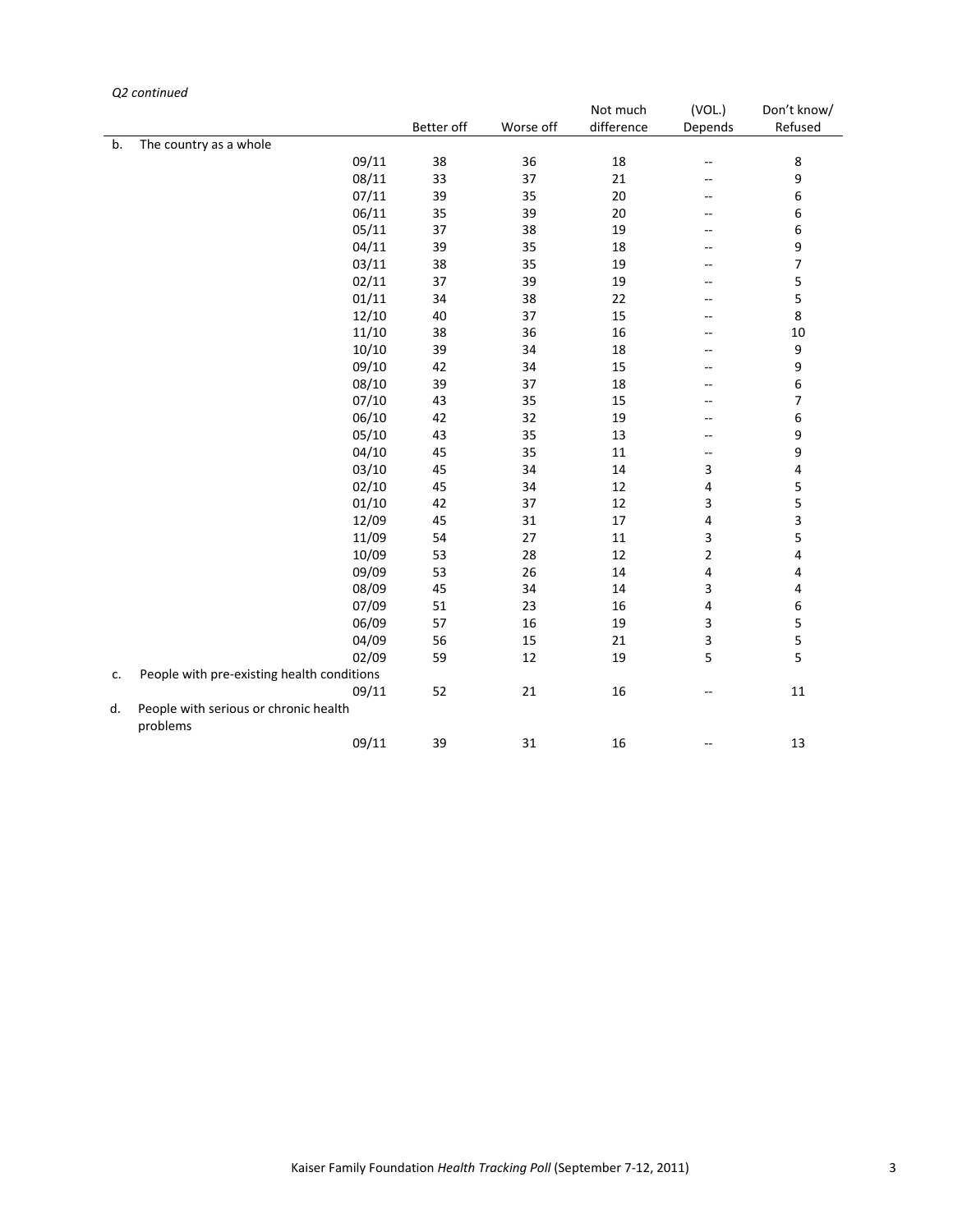#### *Q2 continued*

|    |                                                   |            |           | Not much   | (VOL.)         | Don't know/              |
|----|---------------------------------------------------|------------|-----------|------------|----------------|--------------------------|
|    |                                                   | Better off | Worse off | difference | Depends        | Refused                  |
| b. | The country as a whole                            |            |           |            |                |                          |
|    | 09/11                                             | 38         | 36        | 18         | $\overline{a}$ | 8                        |
|    | 08/11                                             | 33         | 37        | 21         | --             | 9                        |
|    | 07/11                                             | 39         | 35        | 20         | $-$            | 6                        |
|    | 06/11                                             | 35         | 39        | 20         | --             | 6                        |
|    | 05/11                                             | 37         | 38        | 19         | --             | 6                        |
|    | 04/11                                             | 39         | 35        | 18         | --             | $\boldsymbol{9}$         |
|    | 03/11                                             | 38         | 35        | 19         | --             | $\overline{\phantom{a}}$ |
|    | 02/11                                             | 37         | 39        | 19         | $-$            | 5                        |
|    | 01/11                                             | 34         | 38        | 22         | --             | 5                        |
|    | 12/10                                             | 40         | 37        | 15         | $-$            | 8                        |
|    | 11/10                                             | 38         | 36        | 16         | $-$            | 10                       |
|    | 10/10                                             | 39         | 34        | 18         | --             | $\boldsymbol{9}$         |
|    | 09/10                                             | 42         | 34        | 15         | --             | 9                        |
|    | 08/10                                             | 39         | 37        | 18         | --             | $\,6\,$                  |
|    | 07/10                                             | 43         | 35        | 15         | --             | $\overline{\phantom{a}}$ |
|    | 06/10                                             | 42         | 32        | 19         | $-$            | $\,6\,$                  |
|    | 05/10                                             | 43         | 35        | 13         | --             | 9                        |
|    | 04/10                                             | 45         | 35        | 11         | $-\,-$         | 9                        |
|    | 03/10                                             | 45         | 34        | 14         | 3              | $\overline{\mathbf{4}}$  |
|    | 02/10                                             | 45         | 34        | 12         | 4              | $\sf 5$                  |
|    | 01/10                                             | 42         | 37        | 12         | 3              | $\sf 5$                  |
|    | 12/09                                             | 45         | 31        | 17         | 4              | $\overline{\mathbf{3}}$  |
|    | 11/09                                             | 54         | 27        | $11\,$     | 3              | $\sf 5$                  |
|    | 10/09                                             | 53         | 28        | 12         | $\overline{2}$ | 4                        |
|    | 09/09                                             | 53         | 26        | 14         | 4              | 4                        |
|    | 08/09                                             | 45         | 34        | 14         | 3              | $\pmb{4}$                |
|    | 07/09                                             | 51         | 23        | 16         | 4              | $\boldsymbol{6}$         |
|    | 06/09                                             | 57         | 16        | 19         | 3              | 5                        |
|    | 04/09                                             | 56         | 15        | 21         | 3              | 5                        |
|    | 02/09                                             | 59         | 12        | 19         | 5              | 5                        |
| c. | People with pre-existing health conditions        |            |           |            |                |                          |
|    | 09/11                                             | 52         | 21        | 16         | --             | 11                       |
| d. | People with serious or chronic health<br>problems |            |           |            |                |                          |
|    | 09/11                                             | 39         | 31        | 16         |                | 13                       |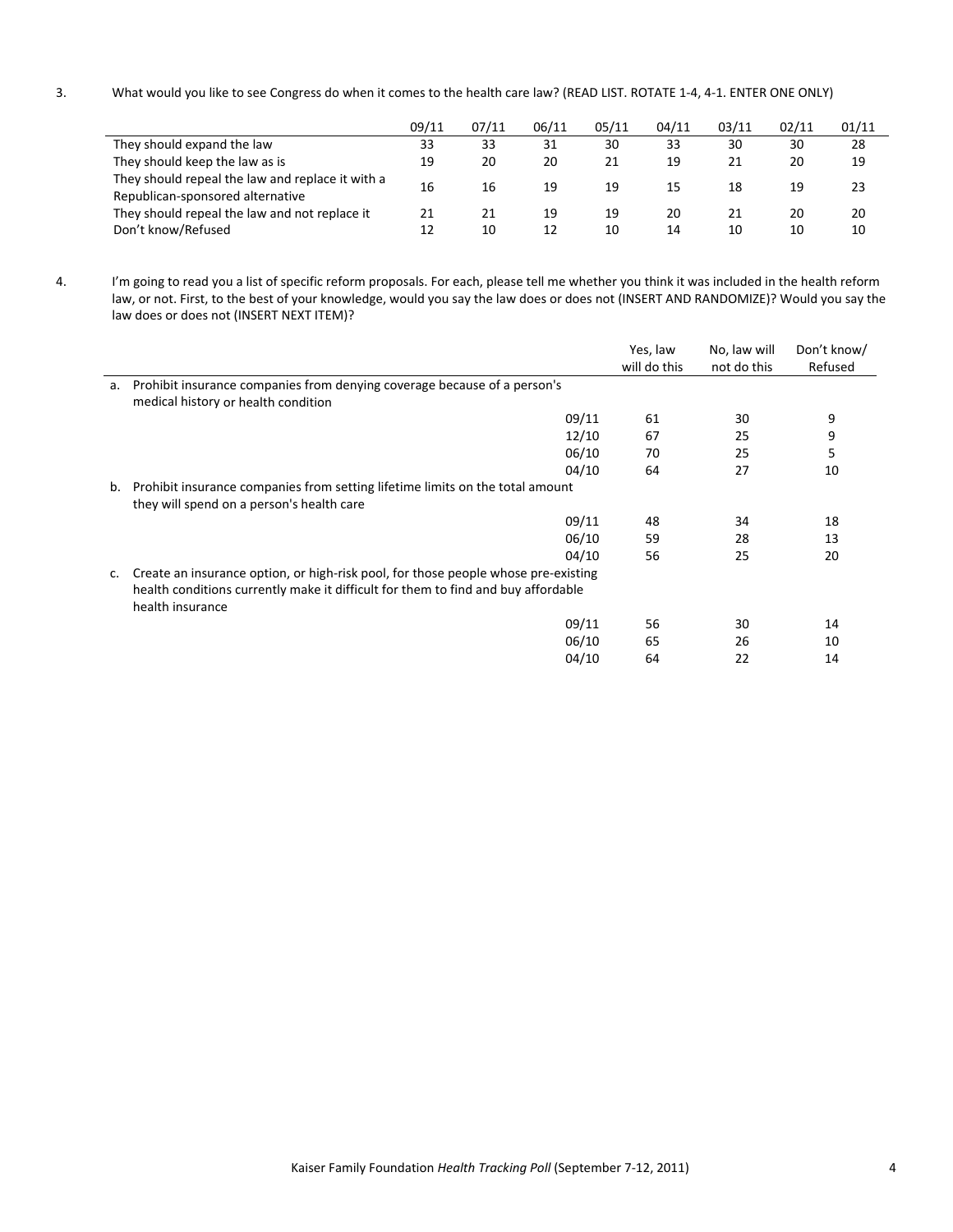3. What would you like to see Congress do when it comes to the health care law? (READ LIST. ROTATE 1‐4, 4‐1. ENTER ONE ONLY)

|                                                                                      | 09/11 | 07/11 | 06/11 | 05/11 | 04/11 | 03/11 | 02/11 | 01/11 |
|--------------------------------------------------------------------------------------|-------|-------|-------|-------|-------|-------|-------|-------|
| They should expand the law                                                           | 33    | 33    | 31    | 30    | 33    | 30    | 30    | 28    |
| They should keep the law as is                                                       | 19    | 20    | 20    | 21    | 19    | 21    | 20    | 19    |
| They should repeal the law and replace it with a<br>Republican-sponsored alternative | 16    | 16    | 19    | 19    | 15    | 18    | 19    | 23    |
| They should repeal the law and not replace it                                        | 21    | 21    | 19    | 19    | 20    | 21    | 20    | 20    |
| Don't know/Refused                                                                   | 12    | 10    | 12    | 10    | 14    | 10    | 10    | 10    |

4. I'm going to read you a list of specific reform proposals. For each, please tell me whether you think it was included in the health reform law, or not. First, to the best of your knowledge, would you say the law does or does not (INSERT AND RANDOMIZE)? Would you say the law does or does not (INSERT NEXT ITEM)?

|    |                                                                                    | Yes, law     | No, law will | Don't know/ |
|----|------------------------------------------------------------------------------------|--------------|--------------|-------------|
|    |                                                                                    | will do this | not do this  | Refused     |
| a. | Prohibit insurance companies from denying coverage because of a person's           |              |              |             |
|    | medical history or health condition                                                |              |              |             |
|    | 09/11                                                                              | 61           | 30           | 9           |
|    | 12/10                                                                              | 67           | 25           | 9           |
|    | 06/10                                                                              | 70           | 25           | 5           |
|    | 04/10                                                                              | 64           | 27           | 10          |
| b. | Prohibit insurance companies from setting lifetime limits on the total amount      |              |              |             |
|    | they will spend on a person's health care                                          |              |              |             |
|    | 09/11                                                                              | 48           | 34           | 18          |
|    | 06/10                                                                              | 59           | 28           | 13          |
|    | 04/10                                                                              | 56           | 25           | 20          |
| c. | Create an insurance option, or high-risk pool, for those people whose pre-existing |              |              |             |
|    | health conditions currently make it difficult for them to find and buy affordable  |              |              |             |
|    | health insurance                                                                   |              |              |             |
|    | 09/11                                                                              | 56           | 30           | 14          |
|    | 06/10                                                                              | 65           | 26           | 10          |
|    | 04/10                                                                              | 64           | 22           | 14          |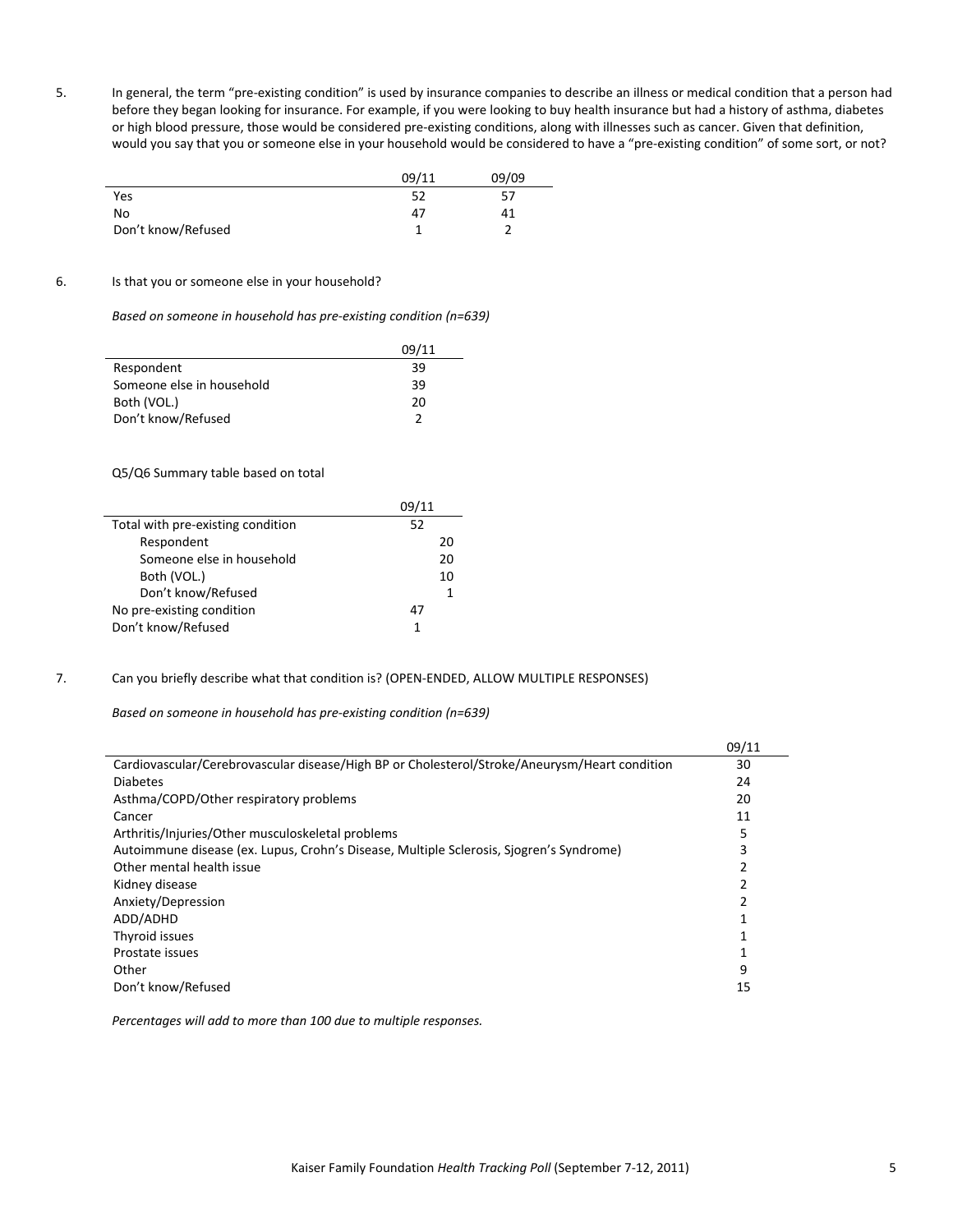5. In general, the term "pre‐existing condition" is used by insurance companies to describe an illness or medical condition that a person had before they began looking for insurance. For example, if you were looking to buy health insurance but had a history of asthma, diabetes or high blood pressure, those would be considered pre‐existing conditions, along with illnesses such as cancer. Given that definition, would you say that you or someone else in your household would be considered to have a "pre-existing condition" of some sort, or not?

|                    | 09/11 | 09/09 |
|--------------------|-------|-------|
| Yes                | 52    | 57    |
| No                 | 47    |       |
| Don't know/Refused |       |       |

### 6. Is that you or someone else in your household?

*Based on someone in household has pre‐existing condition (n=639)*

|                           | 09/11 |
|---------------------------|-------|
| Respondent                | 39    |
| Someone else in household | 39    |
| Both (VOL.)               | 20    |
| Don't know/Refused        |       |

Q5/Q6 Summary table based on total

|                                   | 09/11 |
|-----------------------------------|-------|
| Total with pre-existing condition | 52    |
| Respondent                        | 20    |
| Someone else in household         | 20    |
| Both (VOL.)                       | 10    |
| Don't know/Refused                |       |
| No pre-existing condition         | 47    |
| Don't know/Refused                | 1     |

7. Can you briefly describe what that condition is? (OPEN‐ENDED, ALLOW MULTIPLE RESPONSES)

*Based on someone in household has pre‐existing condition (n=639)*

|                                                                                               | 09/11 |
|-----------------------------------------------------------------------------------------------|-------|
| Cardiovascular/Cerebrovascular disease/High BP or Cholesterol/Stroke/Aneurysm/Heart condition | 30    |
| <b>Diabetes</b>                                                                               | 24    |
| Asthma/COPD/Other respiratory problems                                                        | 20    |
| Cancer                                                                                        | 11    |
| Arthritis/Injuries/Other musculoskeletal problems                                             | 5     |
| Autoimmune disease (ex. Lupus, Crohn's Disease, Multiple Sclerosis, Sjogren's Syndrome)       | 3     |
| Other mental health issue                                                                     |       |
| Kidney disease                                                                                |       |
| Anxiety/Depression                                                                            |       |
| ADD/ADHD                                                                                      |       |
| Thyroid issues                                                                                |       |
| Prostate issues                                                                               |       |
| Other                                                                                         | 9     |
| Don't know/Refused                                                                            | 15    |

*Percentages will add to more than 100 due to multiple responses.*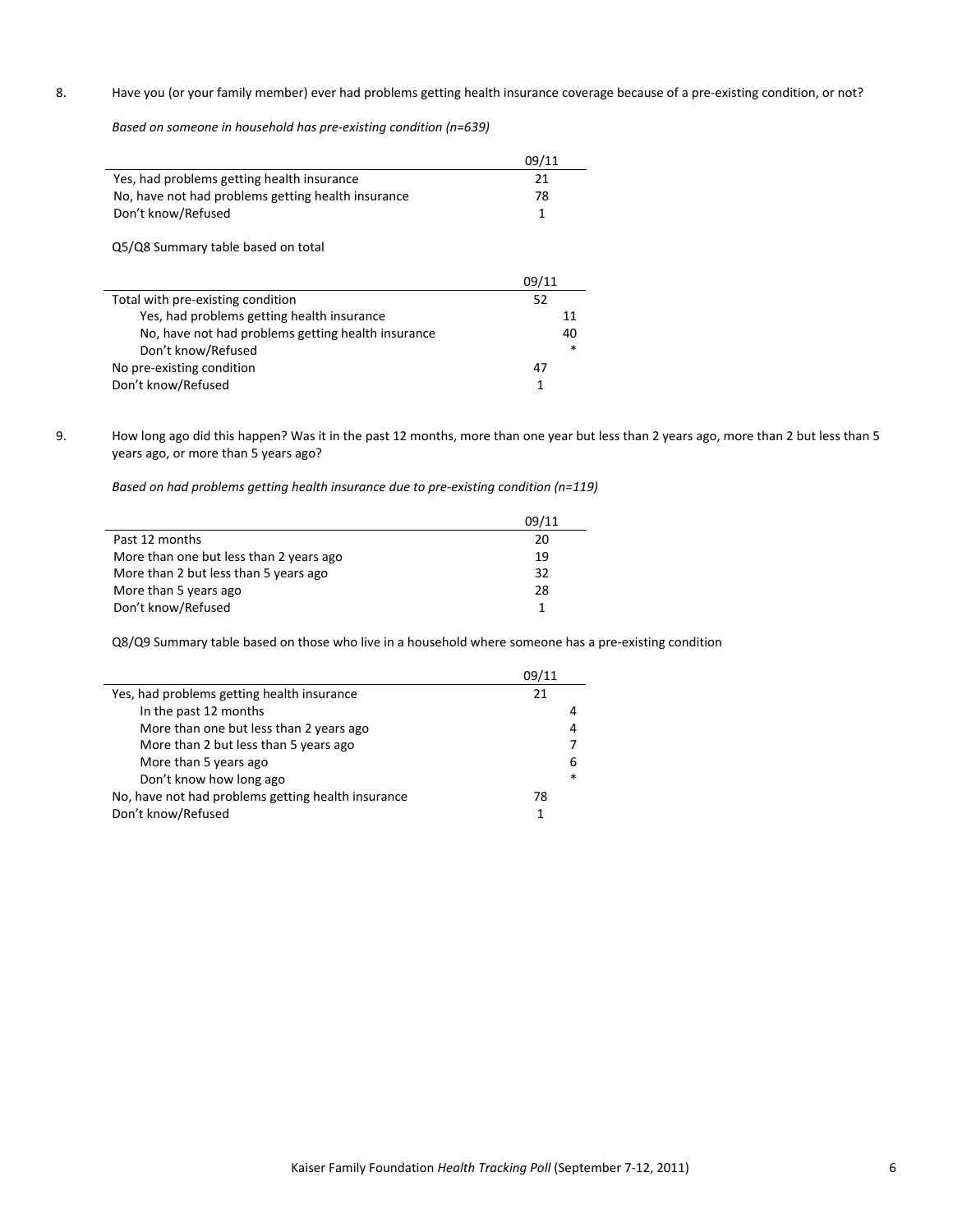# 8. Have you (or your family member) ever had problems getting health insurance coverage because of a pre-existing condition, or not?

*Based on someone in household has pre‐existing condition (n=639)*

|                                                    | 09/11  |
|----------------------------------------------------|--------|
| Yes, had problems getting health insurance         | 21     |
| No, have not had problems getting health insurance | 78     |
| Don't know/Refused                                 | 1      |
| Q5/Q8 Summary table based on total                 |        |
|                                                    | 09/11  |
|                                                    |        |
| Total with pre-existing condition                  | 52     |
| Yes, had problems getting health insurance         | 11     |
| No, have not had problems getting health insurance | 40     |
| Don't know/Refused                                 | $\ast$ |
| No pre-existing condition                          | 47     |

9. How long ago did this happen? Was it in the past 12 months, more than one year but less than 2 years ago, more than 2 but less than 5 years ago, or more than 5 years ago?

*Based on had problems getting health insurance due to pre‐existing condition (n=119)*

|                                         | 09/11 |
|-----------------------------------------|-------|
| Past 12 months                          | 20    |
| More than one but less than 2 years ago | 19    |
| More than 2 but less than 5 years ago   | 32    |
| More than 5 years ago                   | 28    |
| Don't know/Refused                      | 1     |

Q8/Q9 Summary table based on those who live in a household where someone has a pre-existing condition

|                                                    | 09/11 |        |
|----------------------------------------------------|-------|--------|
| Yes, had problems getting health insurance         | 21    |        |
| In the past 12 months                              |       | 4      |
| More than one but less than 2 years ago            |       | 4      |
| More than 2 but less than 5 years ago              |       |        |
| More than 5 years ago                              |       | 6      |
| Don't know how long ago                            |       | $\ast$ |
| No, have not had problems getting health insurance | 78    |        |
| Don't know/Refused                                 |       |        |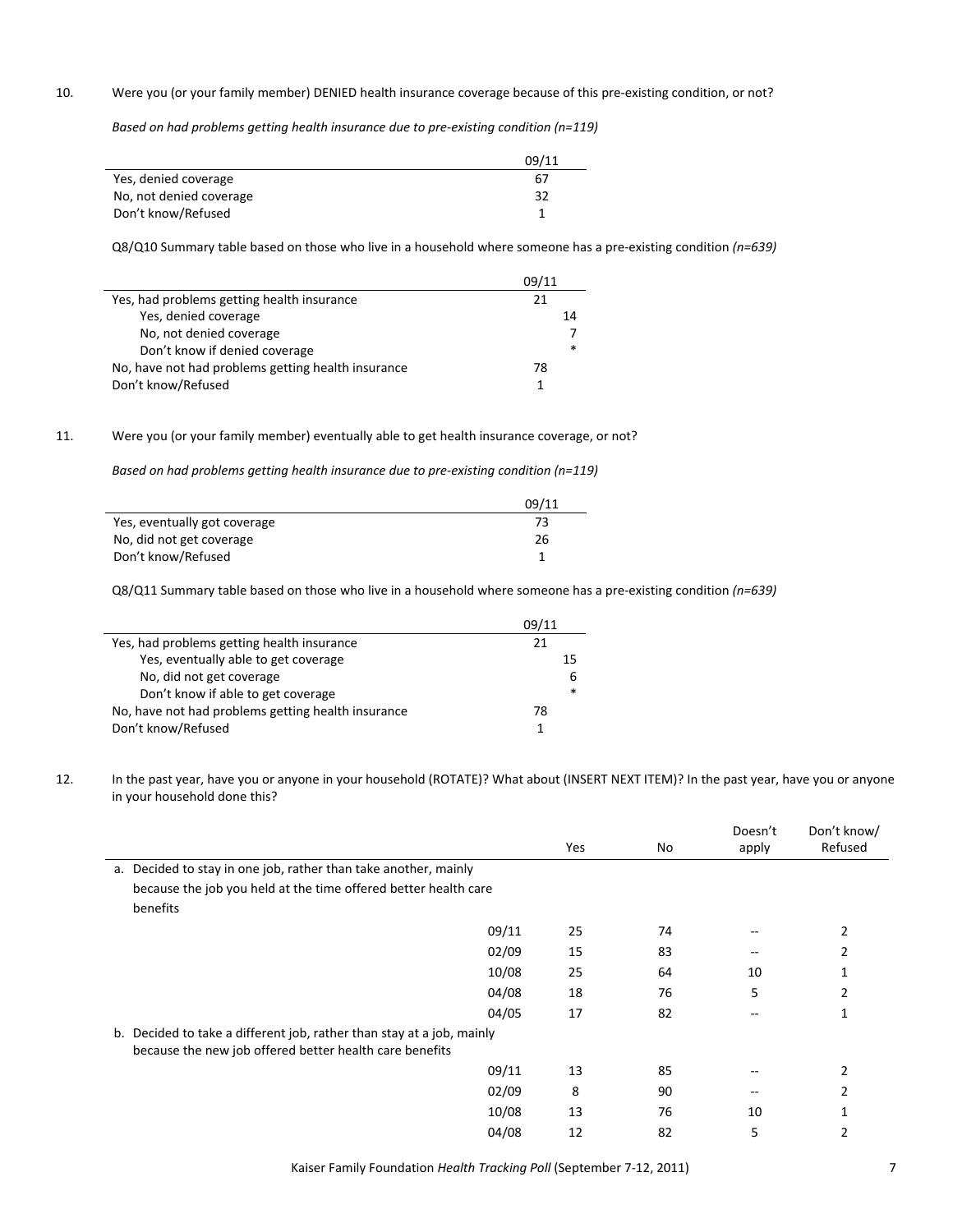#### 10. Were you (or your family member) DENIED health insurance coverage because of this pre-existing condition, or not?

*Based on had problems getting health insurance due to pre‐existing condition (n=119)*

|                         | 09/11 |
|-------------------------|-------|
| Yes, denied coverage    | 67    |
| No, not denied coverage | 32    |
| Don't know/Refused      |       |

Q8/Q10 Summary table based on those who live in a household where someone has a pre‐existing condition *(n=639)*

|                                                    | 09/11 |  |
|----------------------------------------------------|-------|--|
| Yes, had problems getting health insurance         | 21    |  |
| Yes, denied coverage                               | 14    |  |
| No, not denied coverage                            |       |  |
| Don't know if denied coverage                      | *     |  |
| No, have not had problems getting health insurance | 78    |  |
| Don't know/Refused                                 |       |  |

# 11. Were you (or your family member) eventually able to get health insurance coverage, or not?

*Based on had problems getting health insurance due to pre‐existing condition (n=119)*

|                              | 09/11 |
|------------------------------|-------|
| Yes, eventually got coverage |       |
| No, did not get coverage     | 26    |
| Don't know/Refused           |       |

Q8/Q11 Summary table based on those who live in a household where someone has a pre‐existing condition *(n=639)*

|                                                    | 09/11 |        |
|----------------------------------------------------|-------|--------|
| Yes, had problems getting health insurance         | 21    |        |
| Yes, eventually able to get coverage               |       | 15     |
| No, did not get coverage                           |       | 6      |
| Don't know if able to get coverage                 |       | $\ast$ |
| No, have not had problems getting health insurance | 78    |        |
| Don't know/Refused                                 |       |        |

12. In the past year, have you or anyone in your household (ROTATE)? What about (INSERT NEXT ITEM)? In the past year, have you or anyone in your household done this?

|                                                                                                                                  |       | Yes | No | Doesn't<br>apply | Don't know/<br>Refused |
|----------------------------------------------------------------------------------------------------------------------------------|-------|-----|----|------------------|------------------------|
| Decided to stay in one job, rather than take another, mainly<br>a.                                                               |       |     |    |                  |                        |
| because the job you held at the time offered better health care                                                                  |       |     |    |                  |                        |
| benefits                                                                                                                         |       |     |    |                  |                        |
|                                                                                                                                  | 09/11 | 25  | 74 |                  | 2                      |
|                                                                                                                                  | 02/09 | 15  | 83 | --               |                        |
|                                                                                                                                  | 10/08 | 25  | 64 | 10               |                        |
|                                                                                                                                  | 04/08 | 18  | 76 | 5                | 2                      |
|                                                                                                                                  | 04/05 | 17  | 82 |                  |                        |
| b. Decided to take a different job, rather than stay at a job, mainly<br>because the new job offered better health care benefits |       |     |    |                  |                        |
|                                                                                                                                  | 09/11 | 13  | 85 | --               | 2                      |
|                                                                                                                                  | 02/09 | 8   | 90 |                  | 2                      |
|                                                                                                                                  | 10/08 | 13  | 76 | 10               |                        |
|                                                                                                                                  | 04/08 | 12  | 82 | 5                |                        |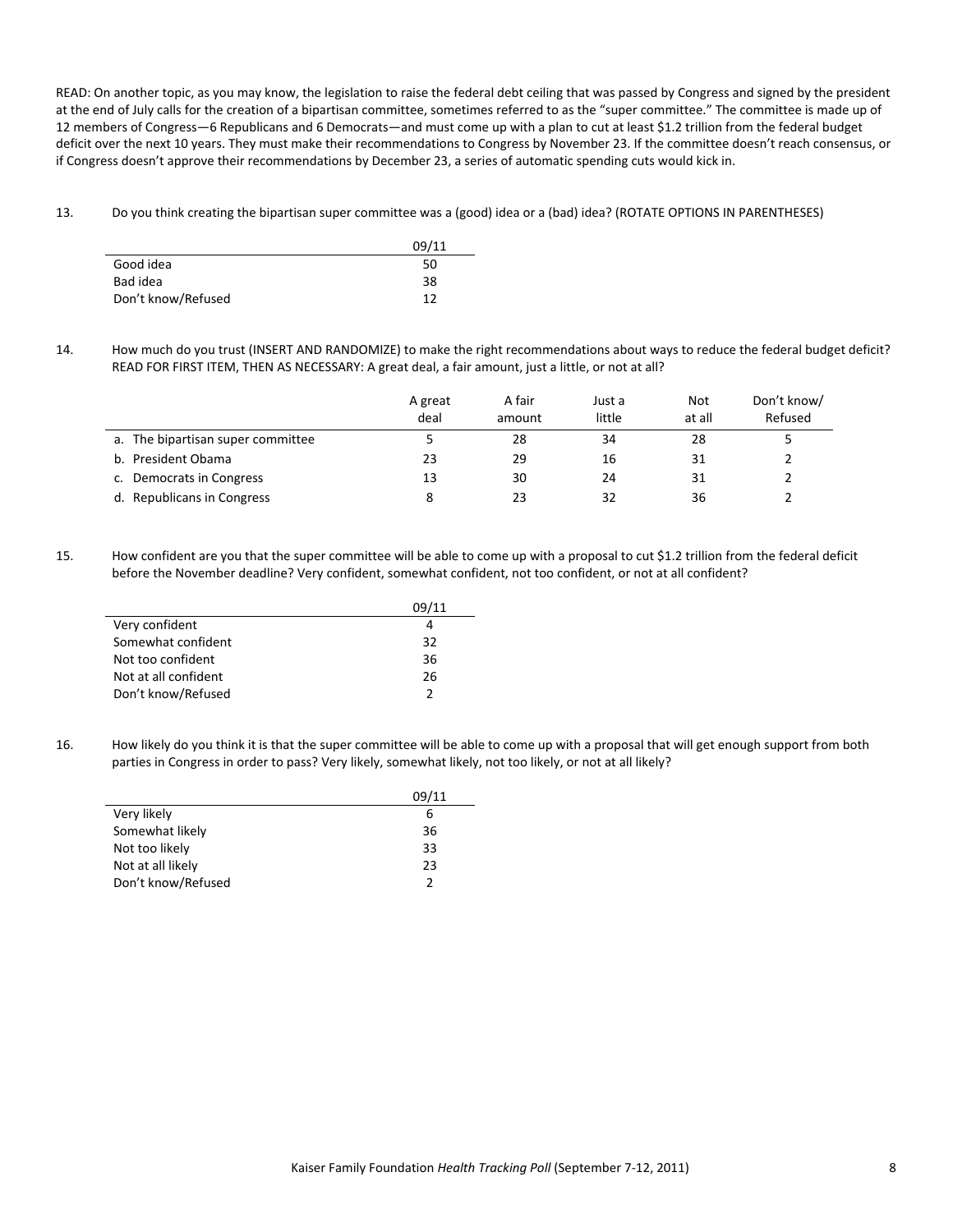READ: On another topic, as you may know, the legislation to raise the federal debt ceiling that was passed by Congress and signed by the president at the end of July calls for the creation of a bipartisan committee, sometimes referred to as the "super committee." The committee is made up of 12 members of Congress—6 Republicans and 6 Democrats—and must come up with a plan to cut at least \$1.2 trillion from the federal budget deficit over the next 10 years. They must make their recommendations to Congress by November 23. If the committee doesn't reach consensus, or if Congress doesn't approve their recommendations by December 23, a series of automatic spending cuts would kick in.

13. Do you think creating the bipartisan super committee was a (good) idea or a (bad) idea? (ROTATE OPTIONS IN PARENTHESES)

|                    | 09/11 |
|--------------------|-------|
| Good idea          | 50    |
| Bad idea           | 38    |
| Don't know/Refused | 12    |

14. How much do you trust (INSERT AND RANDOMIZE) to make the right recommendations about ways to reduce the federal budget deficit? READ FOR FIRST ITEM, THEN AS NECESSARY: A great deal, a fair amount, just a little, or not at all?

|                                   | A great<br>deal | A fair<br>amount | Just a<br>little | Not<br>at all | Don't know/<br>Refused |
|-----------------------------------|-----------------|------------------|------------------|---------------|------------------------|
| a. The bipartisan super committee |                 | 28               | 34               | 28            |                        |
| b. President Obama                | 23              | 29               | 16               | 31            |                        |
| c. Democrats in Congress          | 13              | 30               | 24               | 31            |                        |
| d. Republicans in Congress        |                 | 23               | 32               | 36            |                        |

15. How confident are you that the super committee will be able to come up with a proposal to cut \$1.2 trillion from the federal deficit before the November deadline? Very confident, somewhat confident, not too confident, or not at all confident?

|                      | 09/11         |
|----------------------|---------------|
| Very confident       | 4             |
| Somewhat confident   | 32            |
| Not too confident    | 36            |
| Not at all confident | 26            |
| Don't know/Refused   | $\mathcal{P}$ |

16. How likely do you think it is that the super committee will be able to come up with a proposal that will get enough support from both parties in Congress in order to pass? Very likely, somewhat likely, not too likely, or not at all likely?

|                    | 09/11 |
|--------------------|-------|
| Very likely        | b     |
| Somewhat likely    | 36    |
| Not too likely     | 33    |
| Not at all likely  | 23    |
| Don't know/Refused | っ     |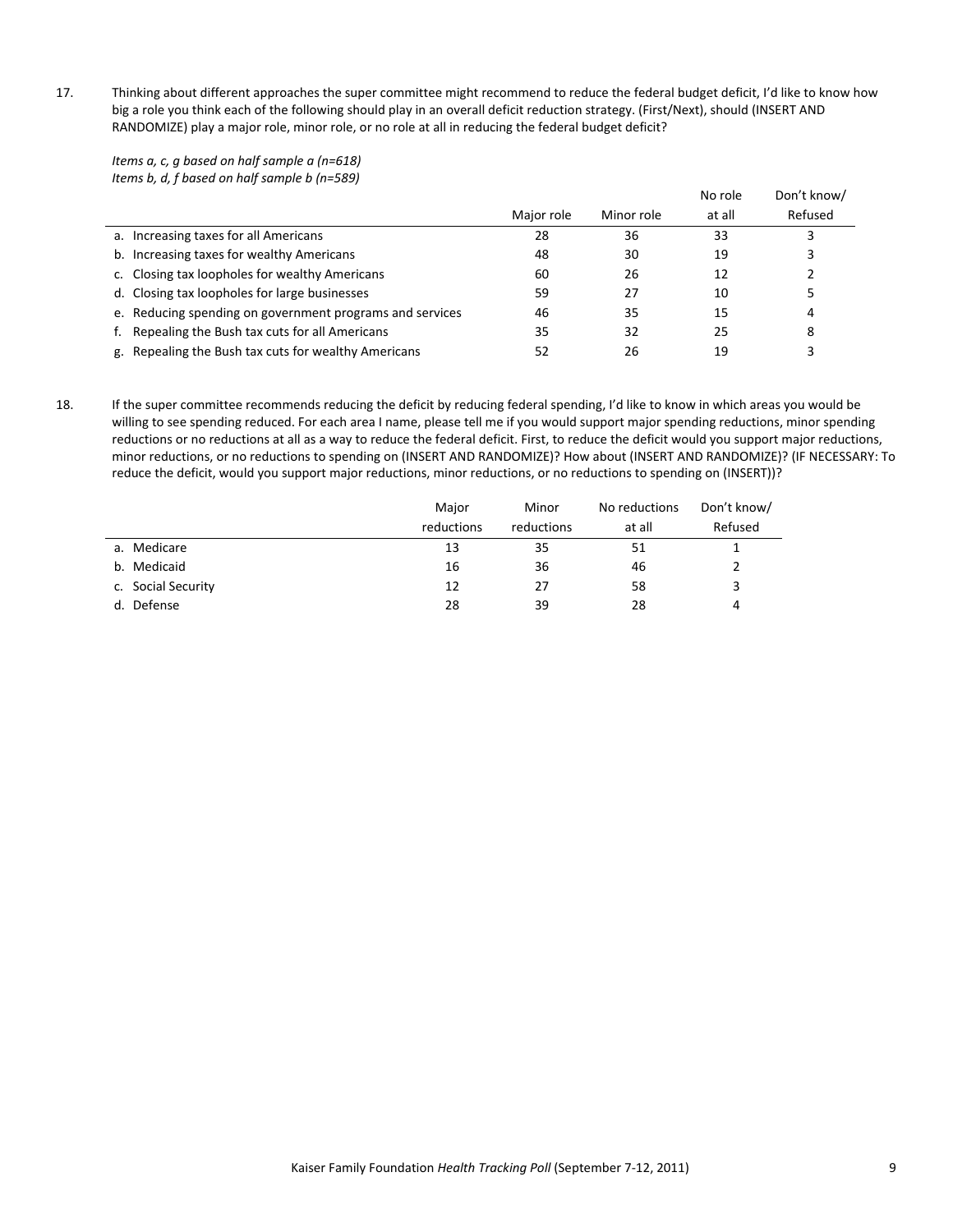17. Thinking about different approaches the super committee might recommend to reduce the federal budget deficit, I'd like to know how big a role you think each of the following should play in an overall deficit reduction strategy. (First/Next), should (INSERT AND RANDOMIZE) play a major role, minor role, or no role at all in reducing the federal budget deficit?

*Items a, c, g based on half sample a (n=618) Items b, d, f based on half sample b (n=589)*

| $\frac{1}{100}$ . We can be considered to the state of the state of $\frac{1}{100}$ . We can be considered to the state of $\frac{1}{100}$ | Major role | Minor role | No role<br>at all | Don't know/<br>Refused |
|--------------------------------------------------------------------------------------------------------------------------------------------|------------|------------|-------------------|------------------------|
| a. Increasing taxes for all Americans                                                                                                      | 28         | 36         | 33                |                        |
| b. Increasing taxes for wealthy Americans                                                                                                  | 48         | 30         | 19                |                        |
| c. Closing tax loopholes for wealthy Americans                                                                                             | 60         | 26         | 12                |                        |
| d. Closing tax loopholes for large businesses                                                                                              | 59         | 27         | 10                |                        |
| e. Reducing spending on government programs and services                                                                                   | 46         | 35         | 15                | 4                      |
| Repealing the Bush tax cuts for all Americans                                                                                              | 35         | 32         | 25                | 8                      |
| g. Repealing the Bush tax cuts for wealthy Americans                                                                                       | 52         | 26         | 19                |                        |

18. If the super committee recommends reducing the deficit by reducing federal spending, I'd like to know in which areas you would be willing to see spending reduced. For each area I name, please tell me if you would support major spending reductions, minor spending reductions or no reductions at all as a way to reduce the federal deficit. First, to reduce the deficit would you support major reductions, minor reductions, or no reductions to spending on (INSERT AND RANDOMIZE)? How about (INSERT AND RANDOMIZE)? (IF NECESSARY: To reduce the deficit, would you support major reductions, minor reductions, or no reductions to spending on (INSERT))?

|                    | Major      | Minor      | No reductions | Don't know/ |
|--------------------|------------|------------|---------------|-------------|
|                    | reductions | reductions | at all        | Refused     |
| a. Medicare        | 13         | 35         | 51            |             |
| b. Medicaid        | 16         | 36         | 46            |             |
| c. Social Security | 12         | 27         | 58            | 3           |
| Defense<br>d.      | 28         | 39         | 28            | 4           |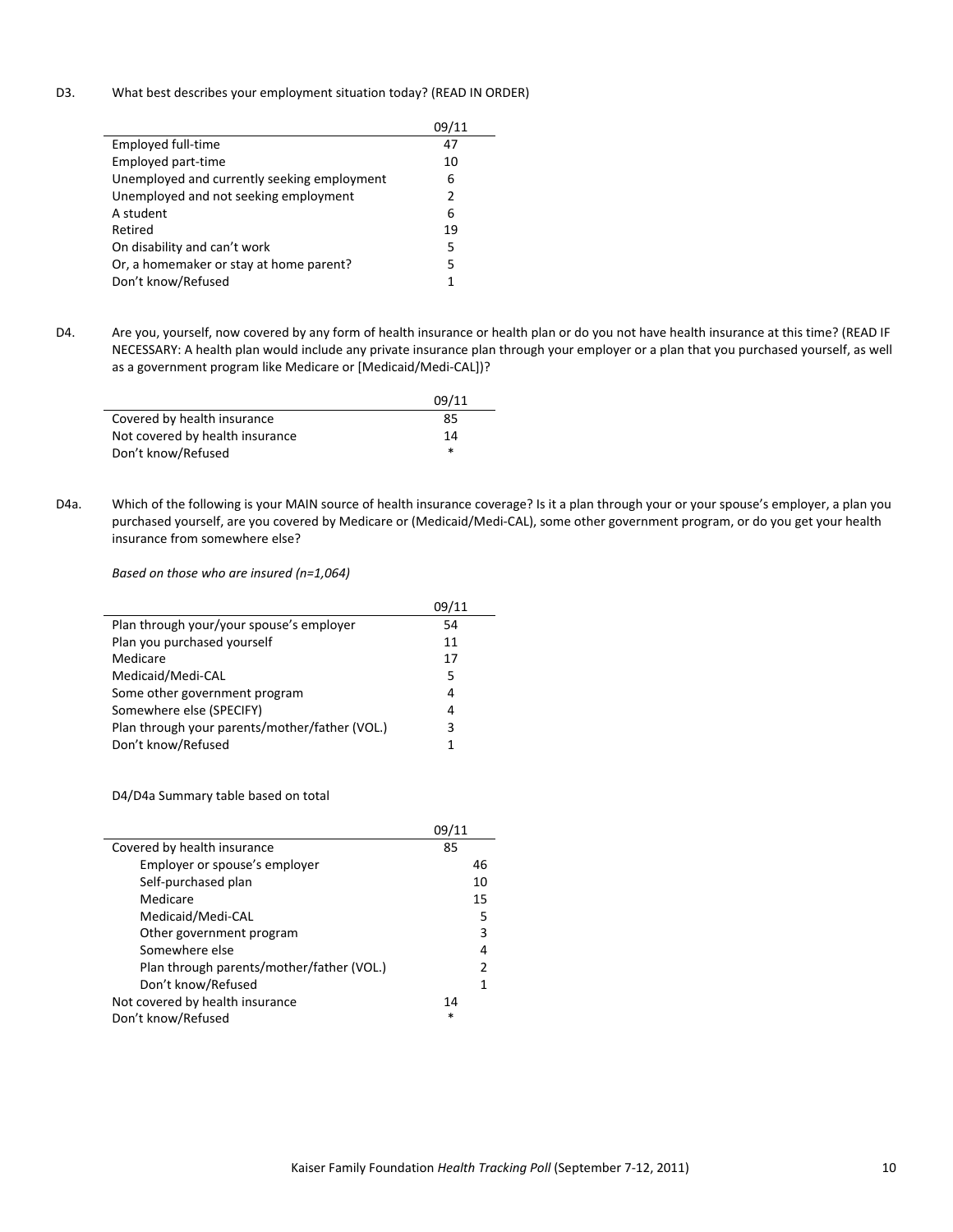# D3. What best describes your employment situation today? (READ IN ORDER)

| Employed full-time                          | 47            |
|---------------------------------------------|---------------|
| Employed part-time                          | 10            |
| Unemployed and currently seeking employment | 6             |
| Unemployed and not seeking employment       | $\mathcal{P}$ |
| A student                                   | 6             |
| Retired                                     | 19            |
| On disability and can't work                | 5             |
| Or, a homemaker or stay at home parent?     | 5             |
| Don't know/Refused                          |               |

D4. Are you, yourself, now covered by any form of health insurance or health plan or do you not have health insurance at this time? (READ IF NECESSARY: A health plan would include any private insurance plan through your employer or a plan that you purchased yourself, as well as a government program like Medicare or [Medicaid/Medi‐CAL])?

|                                 | 09/11  |
|---------------------------------|--------|
| Covered by health insurance     | 85     |
| Not covered by health insurance | 14     |
| Don't know/Refused              | $\ast$ |

D4a. Which of the following is your MAIN source of health insurance coverage? Is it a plan through your or your spouse's employer, a plan you purchased yourself, are you covered by Medicare or (Medicaid/Medi‐CAL), some other government program, or do you get your health insurance from somewhere else?

*Based on those who are insured (n=1,064)*

|                                                | 09/11 |
|------------------------------------------------|-------|
| Plan through your/your spouse's employer       | 54    |
| Plan you purchased yourself                    | 11    |
| Medicare                                       | 17    |
| Medicaid/Medi-CAL                              | 5     |
| Some other government program                  | 4     |
| Somewhere else (SPECIFY)                       | 4     |
| Plan through your parents/mother/father (VOL.) | 3     |
| Don't know/Refused                             |       |

D4/D4a Summary table based on total

|                                           | 09/11 |
|-------------------------------------------|-------|
| Covered by health insurance               | 85    |
| Employer or spouse's employer             | 46    |
| Self-purchased plan                       | 10    |
| Medicare                                  | 15    |
| Medicaid/Medi-CAL                         | 5     |
| Other government program                  | 3     |
| Somewhere else                            | 4     |
| Plan through parents/mother/father (VOL.) | 2     |
| Don't know/Refused                        | 1     |
| Not covered by health insurance           | 14    |
| Don't know/Refused                        | *     |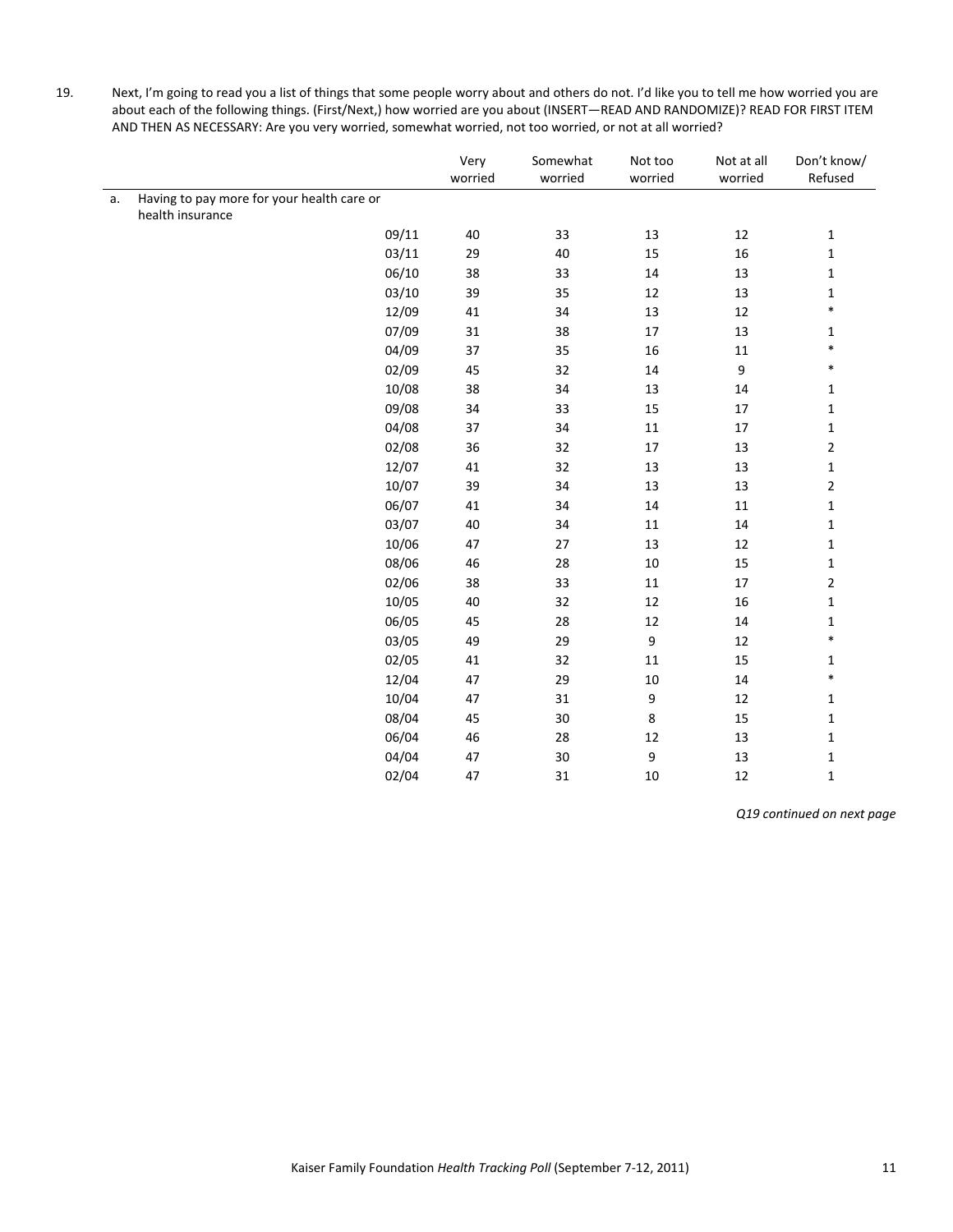19. Next, I'm going to read you a list of things that some people worry about and others do not. I'd like you to tell me how worried you are about each of the following things. (First/Next,) how worried are you about (INSERT—READ AND RANDOMIZE)? READ FOR FIRST ITEM AND THEN AS NECESSARY: Are you very worried, somewhat worried, not too worried, or not at all worried?

|    |                                            |       | Very<br>worried | Somewhat<br>worried | Not too<br>worried | Not at all<br>worried | Don't know/<br>Refused |
|----|--------------------------------------------|-------|-----------------|---------------------|--------------------|-----------------------|------------------------|
| a. | Having to pay more for your health care or |       |                 |                     |                    |                       |                        |
|    | health insurance                           |       |                 |                     |                    |                       |                        |
|    |                                            | 09/11 | 40              | 33                  | 13                 | $12\,$                | $\mathbf 1$            |
|    |                                            | 03/11 | 29              | $40\,$              | 15                 | $16\,$                | $\mathbf 1$            |
|    |                                            | 06/10 | 38              | 33                  | 14                 | 13                    | $\mathbf 1$            |
|    |                                            | 03/10 | 39              | 35                  | $12\,$             | 13                    | $\mathbf 1$            |
|    |                                            | 12/09 | 41              | 34                  | 13                 | 12                    | $\ast$                 |
|    |                                            | 07/09 | 31              | 38                  | $17\,$             | 13                    | $\mathbf{1}$           |
|    |                                            | 04/09 | 37              | 35                  | 16                 | $11\,$                | $\ast$                 |
|    |                                            | 02/09 | 45              | 32                  | 14                 | $\boldsymbol{9}$      | $\ast$                 |
|    |                                            | 10/08 | 38              | 34                  | 13                 | 14                    | $\mathbf 1$            |
|    |                                            | 09/08 | 34              | 33                  | 15                 | $17\,$                | $\mathbf 1$            |
|    |                                            | 04/08 | 37              | 34                  | $11\,$             | 17                    | $\mathbf 1$            |
|    |                                            | 02/08 | 36              | 32                  | $17\,$             | 13                    | $\mathbf 2$            |
|    |                                            | 12/07 | 41              | 32                  | 13                 | 13                    | $\mathbf 1$            |
|    |                                            | 10/07 | 39              | 34                  | 13                 | 13                    | $\mathbf 2$            |
|    |                                            | 06/07 | 41              | 34                  | $14\,$             | $11\,$                | $\mathbf 1$            |
|    |                                            | 03/07 | $40\,$          | 34                  | $11\,$             | $14\,$                | $\mathbf 1$            |
|    |                                            | 10/06 | 47              | $27$                | 13                 | $12\,$                | $\mathbf 1$            |
|    |                                            | 08/06 | 46              | 28                  | $10\,$             | 15                    | $\mathbf 1$            |
|    |                                            | 02/06 | 38              | 33                  | $11\,$             | $17\,$                | $\mathbf 2$            |
|    |                                            | 10/05 | 40              | 32                  | 12                 | $16\,$                | $\mathbf 1$            |
|    |                                            | 06/05 | 45              | 28                  | $12\,$             | $14\,$                | $\mathbf 1$            |
|    |                                            | 03/05 | 49              | 29                  | 9                  | $12\,$                | $\ast$                 |
|    |                                            | 02/05 | 41              | 32                  | 11                 | 15                    | $\mathbf 1$            |
|    |                                            | 12/04 | 47              | 29                  | $10\,$             | $14\,$                | $\ast$                 |
|    |                                            | 10/04 | 47              | 31                  | 9                  | $12\,$                | $\mathbf 1$            |
|    |                                            | 08/04 | 45              | 30                  | 8                  | 15                    | $\mathbf 1$            |
|    |                                            | 06/04 | 46              | 28                  | 12                 | 13                    | $\mathbf 1$            |
|    |                                            | 04/04 | 47              | 30                  | 9                  | 13                    | $\mathbf 1$            |
|    |                                            | 02/04 | 47              | 31                  | 10                 | 12                    | $\mathbf 1$            |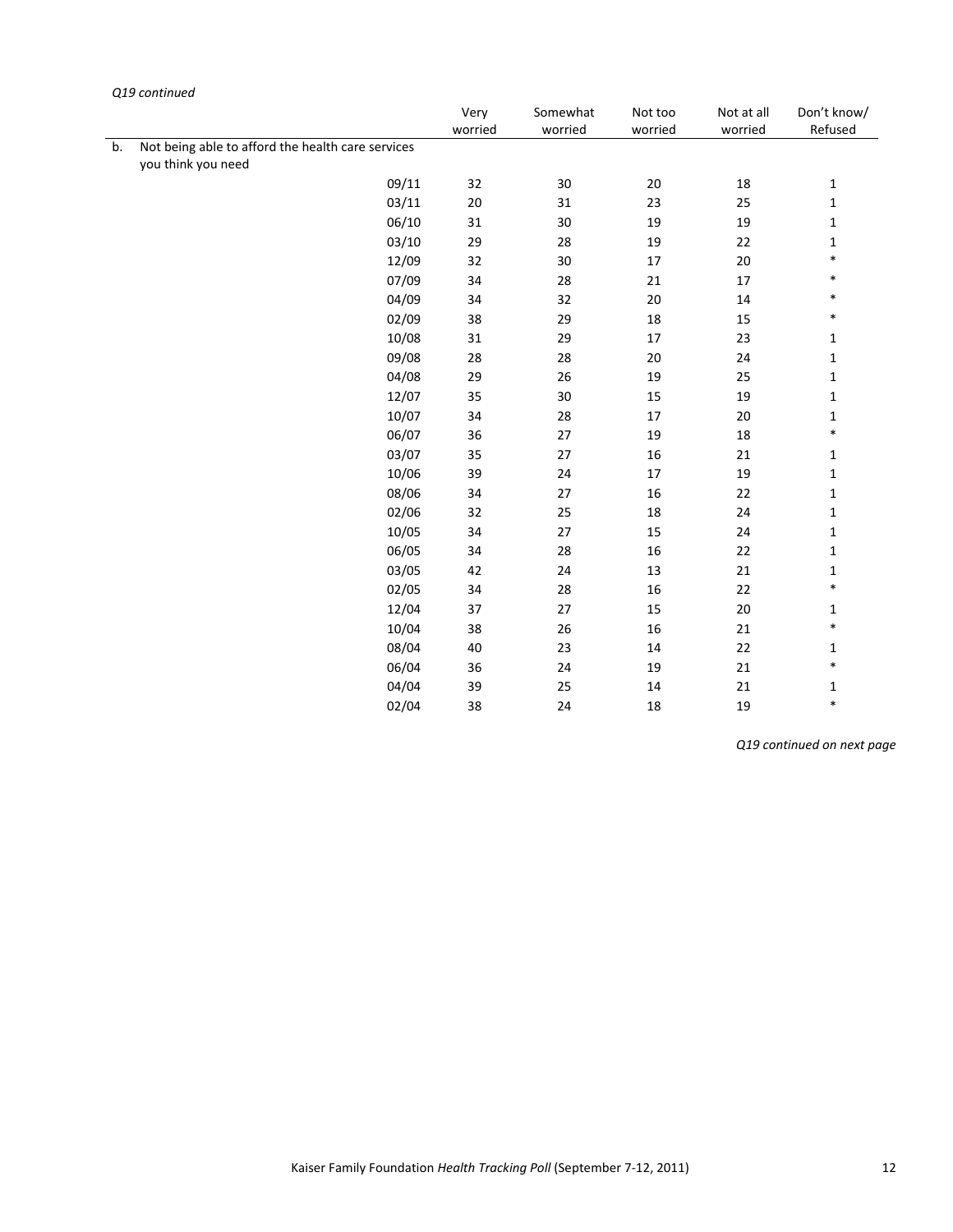|    | use continueu                                     | Very    | Somewhat | Not too | Not at all | Don't know/  |
|----|---------------------------------------------------|---------|----------|---------|------------|--------------|
|    |                                                   | worried | worried  | worried | worried    | Refused      |
| b. | Not being able to afford the health care services |         |          |         |            |              |
|    | you think you need                                |         |          |         |            |              |
|    | 09/11                                             | 32      | 30       | 20      | 18         | 1            |
|    | 03/11                                             | $20\,$  | 31       | 23      | 25         | $\mathbf 1$  |
|    | 06/10                                             | 31      | 30       | 19      | 19         | $\mathbf 1$  |
|    | 03/10                                             | 29      | 28       | 19      | 22         | 1            |
|    | 12/09                                             | 32      | $30\,$   | $17\,$  | $20\,$     | $\ast$       |
|    | 07/09                                             | 34      | 28       | 21      | 17         | $\ast$       |
|    | 04/09                                             | 34      | 32       | 20      | 14         | $\ast$       |
|    | 02/09                                             | 38      | 29       | 18      | 15         | $\ast$       |
|    | 10/08                                             | 31      | 29       | 17      | 23         | 1            |
|    | 09/08                                             | 28      | 28       | 20      | 24         | $\mathbf 1$  |
|    | 04/08                                             | 29      | 26       | 19      | 25         | $\mathbf{1}$ |
|    | 12/07                                             | 35      | 30       | 15      | 19         | $\mathbf{1}$ |
|    | 10/07                                             | 34      | 28       | $17\,$  | 20         | 1            |
|    | 06/07                                             | 36      | 27       | 19      | 18         | $\ast$       |
|    | 03/07                                             | 35      | 27       | 16      | 21         | $\mathbf{1}$ |
|    | 10/06                                             | 39      | 24       | $17\,$  | 19         | $\mathbf{1}$ |
|    | 08/06                                             | 34      | 27       | 16      | 22         | $\mathbf{1}$ |
|    | 02/06                                             | 32      | 25       | 18      | 24         | 1            |
|    | 10/05                                             | 34      | 27       | 15      | 24         | $\mathbf{1}$ |
|    | 06/05                                             | 34      | 28       | 16      | 22         | $\mathbf{1}$ |
|    | 03/05                                             | 42      | 24       | 13      | 21         | 1            |
|    | 02/05                                             | 34      | 28       | 16      | 22         | $\ast$       |
|    | 12/04                                             | 37      | 27       | 15      | $20\,$     | $\mathbf{1}$ |
|    | 10/04                                             | 38      | 26       | 16      | 21         | $\ast$       |
|    | 08/04                                             | 40      | 23       | 14      | 22         | $\mathbf{1}$ |
|    | 06/04                                             | 36      | 24       | 19      | 21         | $\ast$       |
|    | 04/04                                             | 39      | 25       | 14      | 21         | 1            |
|    | 02/04                                             | 38      | 24       | 18      | 19         | $\ast$       |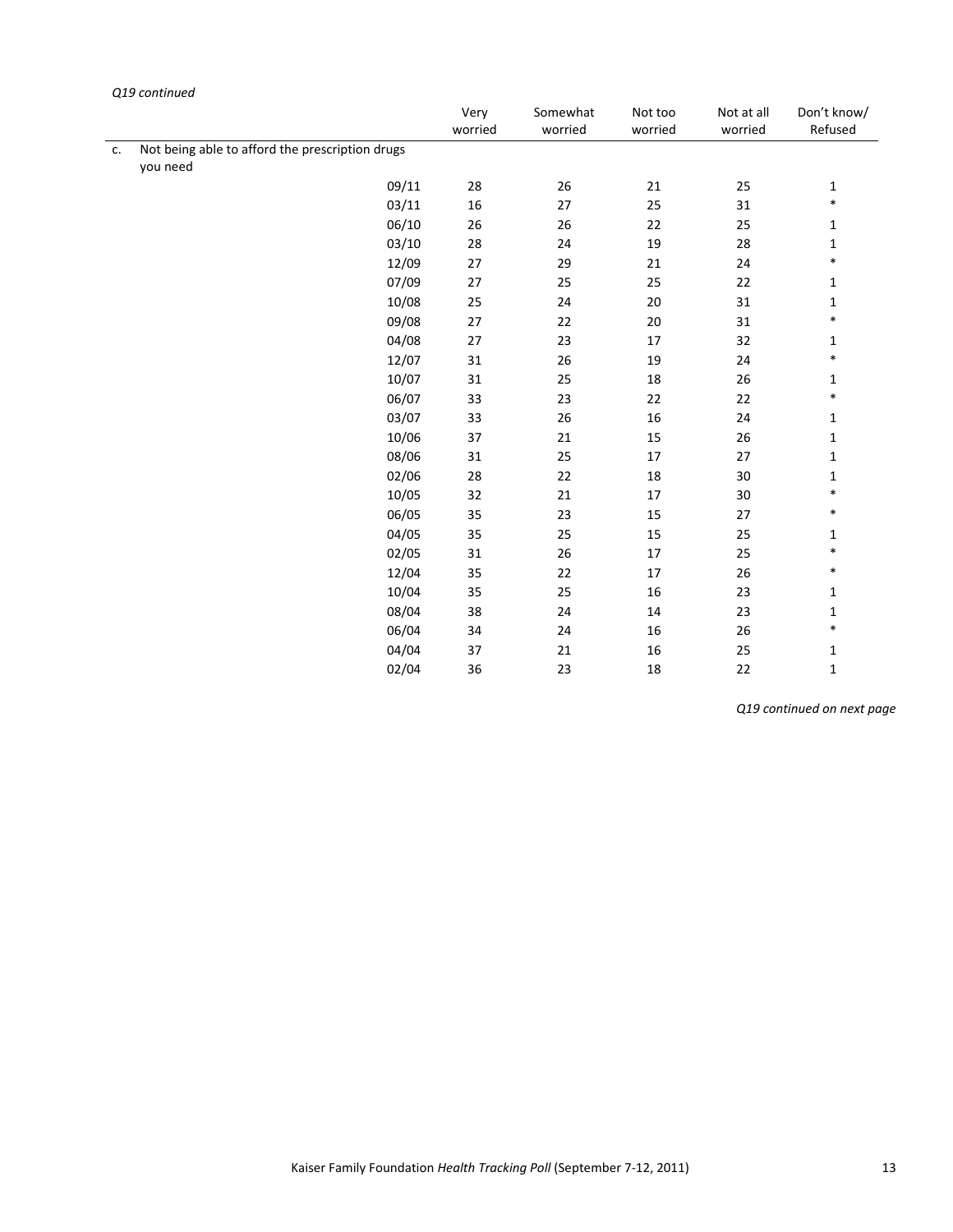|    |                                                             | Very<br>worried | Somewhat<br>worried | Not too<br>worried | Not at all<br>worried | Don't know/<br>Refused |
|----|-------------------------------------------------------------|-----------------|---------------------|--------------------|-----------------------|------------------------|
| c. | Not being able to afford the prescription drugs<br>you need |                 |                     |                    |                       |                        |
|    | 09/11                                                       | 28              | 26                  | 21                 | 25                    | $\mathbf{1}$           |
|    | 03/11                                                       | 16              | 27                  | 25                 | 31                    | $\ast$                 |
|    | 06/10                                                       | 26              | 26                  | 22                 | 25                    | 1                      |
|    | 03/10                                                       | 28              | 24                  | 19                 | 28                    | $\mathbf 1$            |
|    | 12/09                                                       | 27              | 29                  | 21                 | 24                    | $\ast$                 |
|    | 07/09                                                       | 27              | 25                  | 25                 | 22                    | $\mathbf{1}$           |
|    | 10/08                                                       | 25              | 24                  | 20                 | 31                    | $\mathbf{1}$           |
|    | 09/08                                                       | 27              | 22                  | 20                 | 31                    | $\ast$                 |
|    | 04/08                                                       | 27              | 23                  | 17                 | 32                    | 1                      |
|    | 12/07                                                       | 31              | 26                  | 19                 | 24                    | $\ast$                 |
|    | 10/07                                                       | 31              | 25                  | 18                 | 26                    | 1                      |
|    | 06/07                                                       | 33              | 23                  | 22                 | 22                    | $\ast$                 |
|    | 03/07                                                       | 33              | 26                  | 16                 | 24                    | 1                      |
|    | 10/06                                                       | 37              | 21                  | 15                 | 26                    | $\mathbf{1}$           |
|    | 08/06                                                       | 31              | 25                  | 17                 | 27                    | $\mathbf{1}$           |
|    | 02/06                                                       | 28              | 22                  | 18                 | $30\,$                | 1                      |
|    | 10/05                                                       | 32              | 21                  | 17                 | 30                    | $\ast$                 |
|    | 06/05                                                       | 35              | 23                  | 15                 | 27                    | $\ast$                 |
|    | 04/05                                                       | 35              | 25                  | 15                 | 25                    | 1                      |
|    | 02/05                                                       | 31              | 26                  | 17                 | 25                    | $\ast$                 |
|    | 12/04                                                       | 35              | 22                  | 17                 | 26                    | $\ast$                 |
|    | 10/04                                                       | 35              | 25                  | 16                 | 23                    | $\mathbf{1}$           |
|    | 08/04                                                       | 38              | 24                  | 14                 | 23                    | $\mathbf{1}$           |
|    | 06/04                                                       | 34              | 24                  | 16                 | 26                    | $\ast$                 |
|    | 04/04                                                       | 37              | 21                  | 16                 | 25                    | $\mathbf{1}$           |
|    | 02/04                                                       | 36              | 23                  | 18                 | 22                    | $\mathbf{1}$           |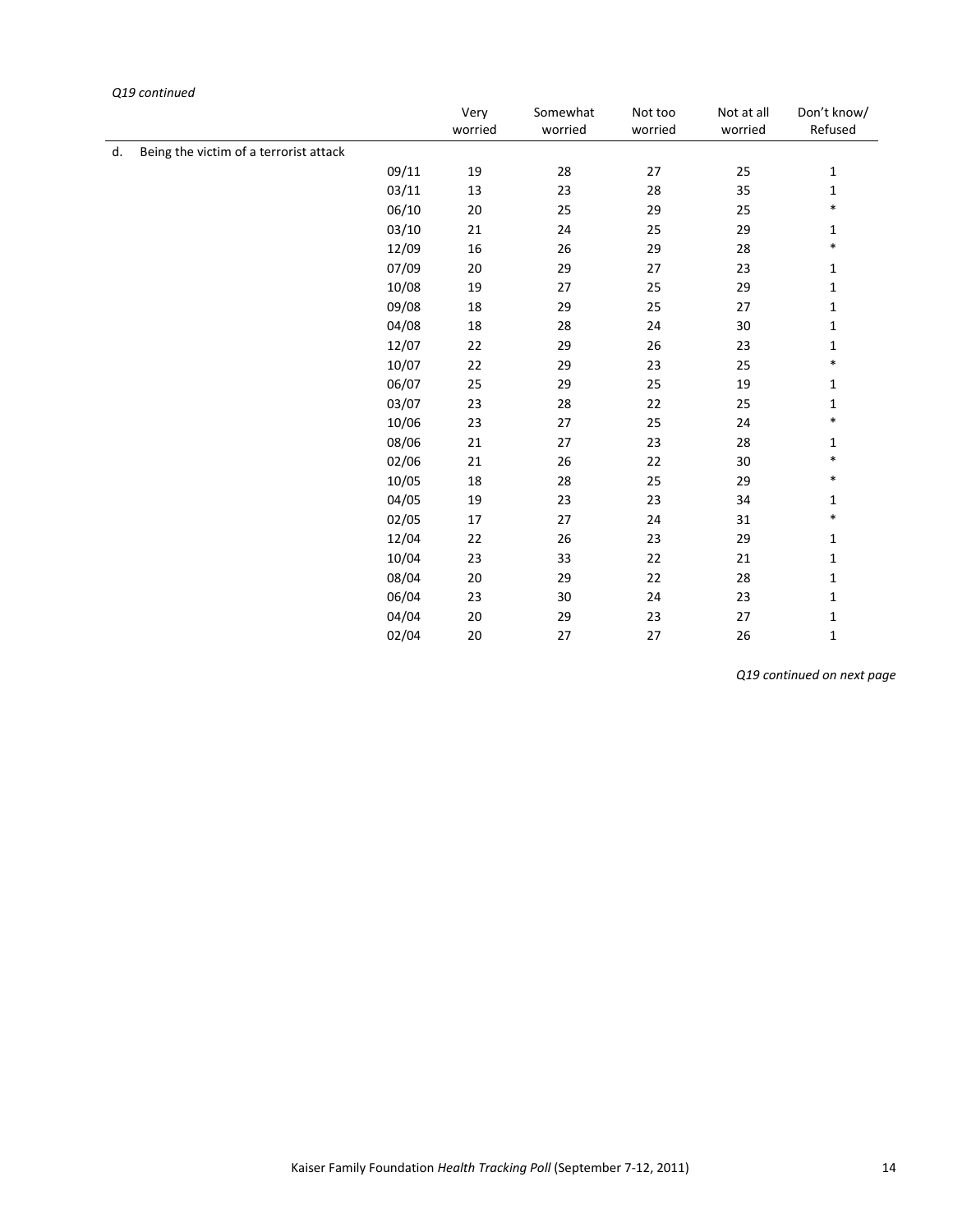|    |                                        |       | Very<br>worried | Somewhat<br>worried | Not too<br>worried | Not at all<br>worried | Don't know/<br>Refused |
|----|----------------------------------------|-------|-----------------|---------------------|--------------------|-----------------------|------------------------|
| d. | Being the victim of a terrorist attack |       |                 |                     |                    |                       |                        |
|    |                                        | 09/11 | 19              | 28                  | 27                 | 25                    | 1                      |
|    |                                        | 03/11 | 13              | 23                  | 28                 | 35                    | $\mathbf 1$            |
|    |                                        | 06/10 | $20\,$          | 25                  | 29                 | 25                    | $\ast$                 |
|    |                                        | 03/10 | 21              | 24                  | 25                 | 29                    | 1                      |
|    |                                        | 12/09 | 16              | 26                  | 29                 | 28                    | $\ast$                 |
|    |                                        | 07/09 | $20\,$          | 29                  | 27                 | 23                    | 1                      |
|    |                                        | 10/08 | 19              | 27                  | 25                 | 29                    | 1                      |
|    |                                        | 09/08 | 18              | 29                  | 25                 | 27                    | 1                      |
|    |                                        | 04/08 | $18\,$          | 28                  | 24                 | 30                    | $\mathbf 1$            |
|    |                                        | 12/07 | 22              | 29                  | 26                 | 23                    | 1                      |
|    |                                        | 10/07 | 22              | 29                  | 23                 | 25                    | $\ast$                 |
|    |                                        | 06/07 | 25              | 29                  | 25                 | 19                    | $\mathbf 1$            |
|    |                                        | 03/07 | 23              | 28                  | 22                 | 25                    | 1                      |
|    |                                        | 10/06 | 23              | 27                  | 25                 | 24                    | $\ast$                 |
|    |                                        | 08/06 | 21              | 27                  | 23                 | 28                    | 1                      |
|    |                                        | 02/06 | 21              | $26\,$              | 22                 | 30                    | $\ast$                 |
|    |                                        | 10/05 | 18              | 28                  | 25                 | 29                    | $\ast$                 |
|    |                                        | 04/05 | 19              | 23                  | 23                 | 34                    | 1                      |
|    |                                        | 02/05 | $17\,$          | 27                  | 24                 | 31                    | $\ast$                 |
|    |                                        | 12/04 | 22              | $26\,$              | 23                 | 29                    | $\mathbf{1}$           |
|    |                                        | 10/04 | 23              | 33                  | 22                 | 21                    | $\mathbf 1$            |
|    |                                        | 08/04 | 20              | 29                  | 22                 | 28                    | 1                      |
|    |                                        | 06/04 | 23              | 30                  | 24                 | 23                    | $\mathbf 1$            |
|    |                                        | 04/04 | $20\,$          | 29                  | 23                 | 27                    | 1                      |
|    |                                        | 02/04 | 20              | 27                  | 27                 | 26                    | $\mathbf 1$            |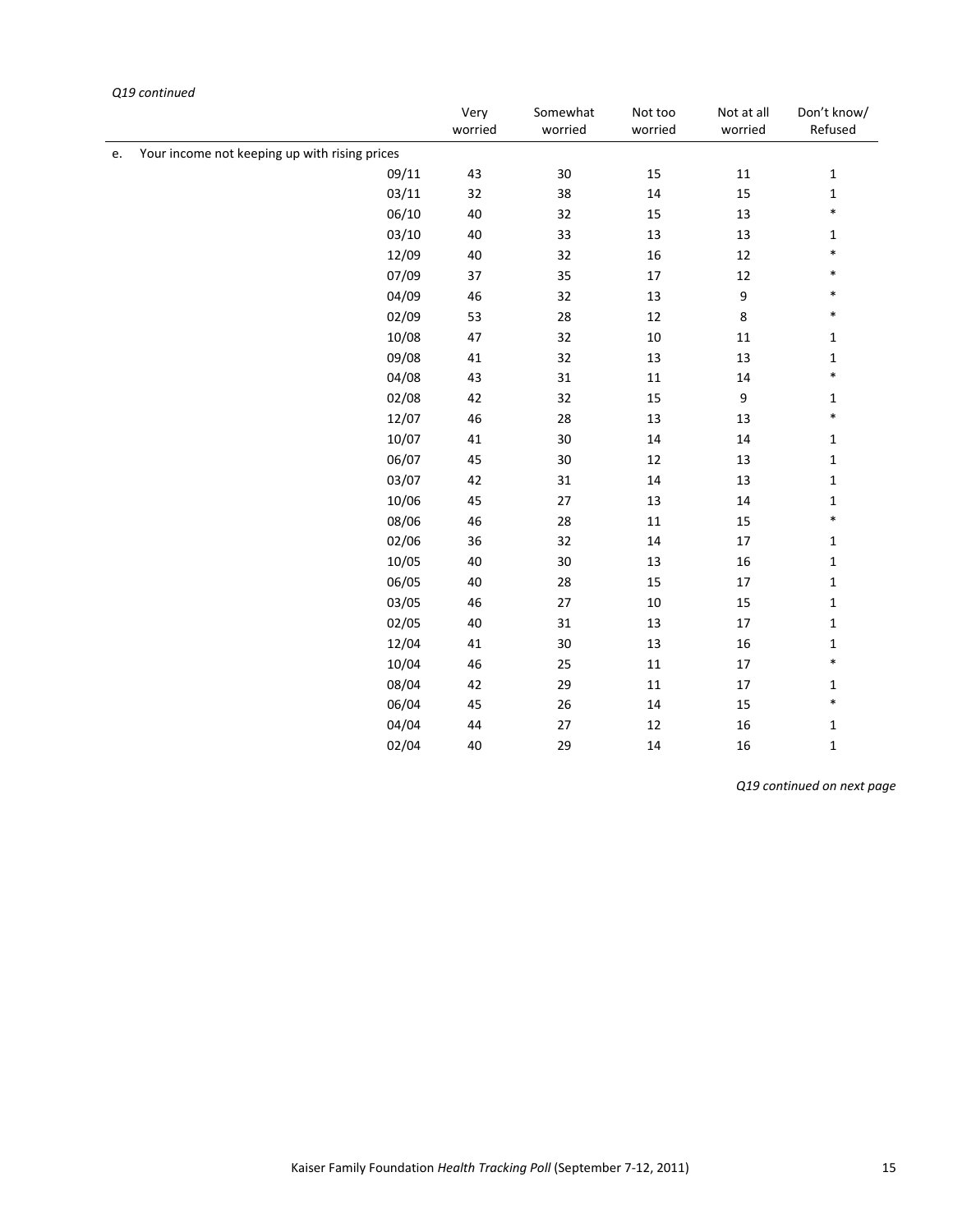|    |                                               | Very<br>worried | Somewhat<br>worried | Not too<br>worried | Not at all<br>worried | Don't know/<br>Refused |
|----|-----------------------------------------------|-----------------|---------------------|--------------------|-----------------------|------------------------|
| e. | Your income not keeping up with rising prices |                 |                     |                    |                       |                        |
|    | 09/11                                         | 43              | $30\,$              | 15                 | $11\,$                | $\mathbf 1$            |
|    | 03/11                                         | 32              | 38                  | $14\,$             | 15                    | $\mathbf{1}$           |
|    | 06/10                                         | 40              | 32                  | 15                 | 13                    | $\ast$                 |
|    | 03/10                                         | 40              | 33                  | 13                 | 13                    | $\mathbf{1}$           |
|    | 12/09                                         | 40              | 32                  | 16                 | 12                    | $\ast$                 |
|    | 07/09                                         | $37\,$          | 35                  | $17\,$             | 12                    | $\ast$                 |
|    | 04/09                                         | 46              | 32                  | 13                 | $\boldsymbol{9}$      | $\ast$                 |
|    | 02/09                                         | 53              | 28                  | 12                 | $\,8\,$               | $\ast$                 |
|    | 10/08                                         | 47              | 32                  | $10\,$             | $11\,$                | $\mathbf 1$            |
|    | 09/08                                         | 41              | 32                  | 13                 | 13                    | $\mathbf{1}$           |
|    | 04/08                                         | 43              | 31                  | $11\,$             | 14                    | $\ast$                 |
|    | 02/08                                         | 42              | 32                  | 15                 | $\boldsymbol{9}$      | $\mathbf 1$            |
|    | 12/07                                         | 46              | 28                  | 13                 | 13                    | $\ast$                 |
|    | 10/07                                         | 41              | $30\,$              | 14                 | 14                    | $\mathbf{1}$           |
|    | 06/07                                         | 45              | 30                  | 12                 | 13                    | $\mathbf 1$            |
|    | 03/07                                         | 42              | 31                  | 14                 | 13                    | $\mathbf 1$            |
|    | 10/06                                         | 45              | $27\,$              | 13                 | 14                    | $\mathbf{1}$           |
|    | 08/06                                         | 46              | 28                  | $11\,$             | 15                    | $\ast$                 |
|    | 02/06                                         | 36              | 32                  | $14\,$             | 17                    | $\mathbf 1$            |
|    | 10/05                                         | 40              | 30                  | 13                 | 16                    | $\mathbf 1$            |
|    | 06/05                                         | 40              | 28                  | 15                 | 17                    | $\mathbf 1$            |
|    | 03/05                                         | 46              | $27\,$              | $10\,$             | 15                    | $\mathbf{1}$           |
|    | 02/05                                         | 40              | 31                  | 13                 | $17\,$                | $\mathbf 1$            |
|    | 12/04                                         | 41              | 30                  | 13                 | 16                    | $\mathbf 1$            |
|    | 10/04                                         | 46              | 25                  | $11\,$             | $17\,$                | $\ast$                 |
|    | 08/04                                         | 42              | 29                  | $11\,$             | $17\,$                | $\mathbf{1}$           |
|    | 06/04                                         | 45              | 26                  | $14\,$             | 15                    | $\ast$                 |
|    | 04/04                                         | 44              | 27                  | 12                 | 16                    | $\mathbf{1}$           |
|    | 02/04                                         | 40              | 29                  | $14\,$             | 16                    | $\mathbf 1$            |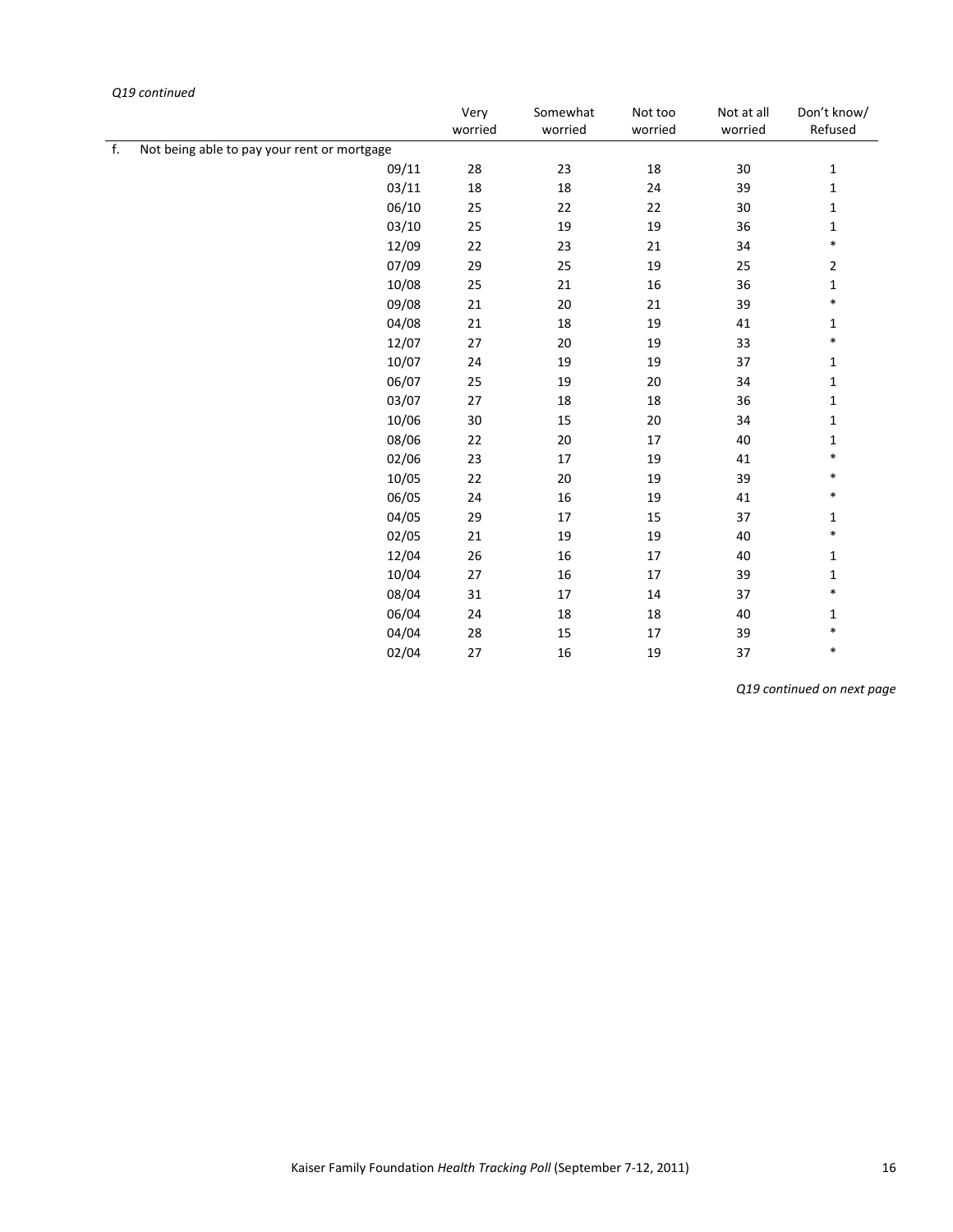|    |                                             | Very<br>worried | Somewhat<br>worried | Not too<br>worried | Not at all<br>worried | Don't know/<br>Refused |
|----|---------------------------------------------|-----------------|---------------------|--------------------|-----------------------|------------------------|
| f. | Not being able to pay your rent or mortgage |                 |                     |                    |                       |                        |
|    | 09/11                                       | 28              | 23                  | $18\,$             | $30\,$                | $\mathbf{1}$           |
|    | 03/11                                       | 18              | 18                  | 24                 | 39                    | 1                      |
|    | 06/10                                       | 25              | 22                  | 22                 | $30\,$                | $\mathbf{1}$           |
|    | 03/10                                       | 25              | 19                  | 19                 | 36                    | 1                      |
|    | 12/09                                       | 22              | 23                  | 21                 | 34                    | $\ast$                 |
|    | 07/09                                       | 29              | 25                  | 19                 | 25                    | 2                      |
|    | 10/08                                       | 25              | 21                  | 16                 | 36                    | $\mathbf{1}$           |
|    | 09/08                                       | 21              | 20                  | 21                 | 39                    | $\ast$                 |
|    | 04/08                                       | 21              | 18                  | 19                 | 41                    | $\mathbf{1}$           |
|    | 12/07                                       | $27\,$          | $20\,$              | 19                 | 33                    | $\ast$                 |
|    | 10/07                                       | 24              | 19                  | 19                 | 37                    | $\mathbf{1}$           |
|    | 06/07                                       | 25              | 19                  | 20                 | 34                    | 1                      |
|    | 03/07                                       | 27              | 18                  | 18                 | 36                    | $\mathbf{1}$           |
|    | 10/06                                       | 30              | 15                  | 20                 | 34                    | $\mathbf{1}$           |
|    | 08/06                                       | 22              | 20                  | 17                 | 40                    | 1                      |
|    | 02/06                                       | 23              | 17                  | 19                 | 41                    | $\ast$                 |
|    | 10/05                                       | 22              | $20\,$              | 19                 | 39                    | $\ast$                 |
|    | 06/05                                       | 24              | 16                  | 19                 | 41                    | $\ast$                 |
|    | 04/05                                       | 29              | 17                  | 15                 | 37                    | 1                      |
|    | 02/05                                       | 21              | 19                  | 19                 | 40                    | $\ast$                 |
|    | 12/04                                       | 26              | 16                  | 17                 | 40                    | 1                      |
|    | 10/04                                       | 27              | 16                  | 17                 | 39                    | 1                      |
|    | 08/04                                       | 31              | $17\,$              | $14\,$             | 37                    | $\ast$                 |
|    | 06/04                                       | 24              | 18                  | 18                 | 40                    | $\mathbf{1}$           |
|    | 04/04                                       | 28              | 15                  | 17                 | 39                    | $\ast$                 |
|    | 02/04                                       | 27              | 16                  | 19                 | 37                    | $\ast$                 |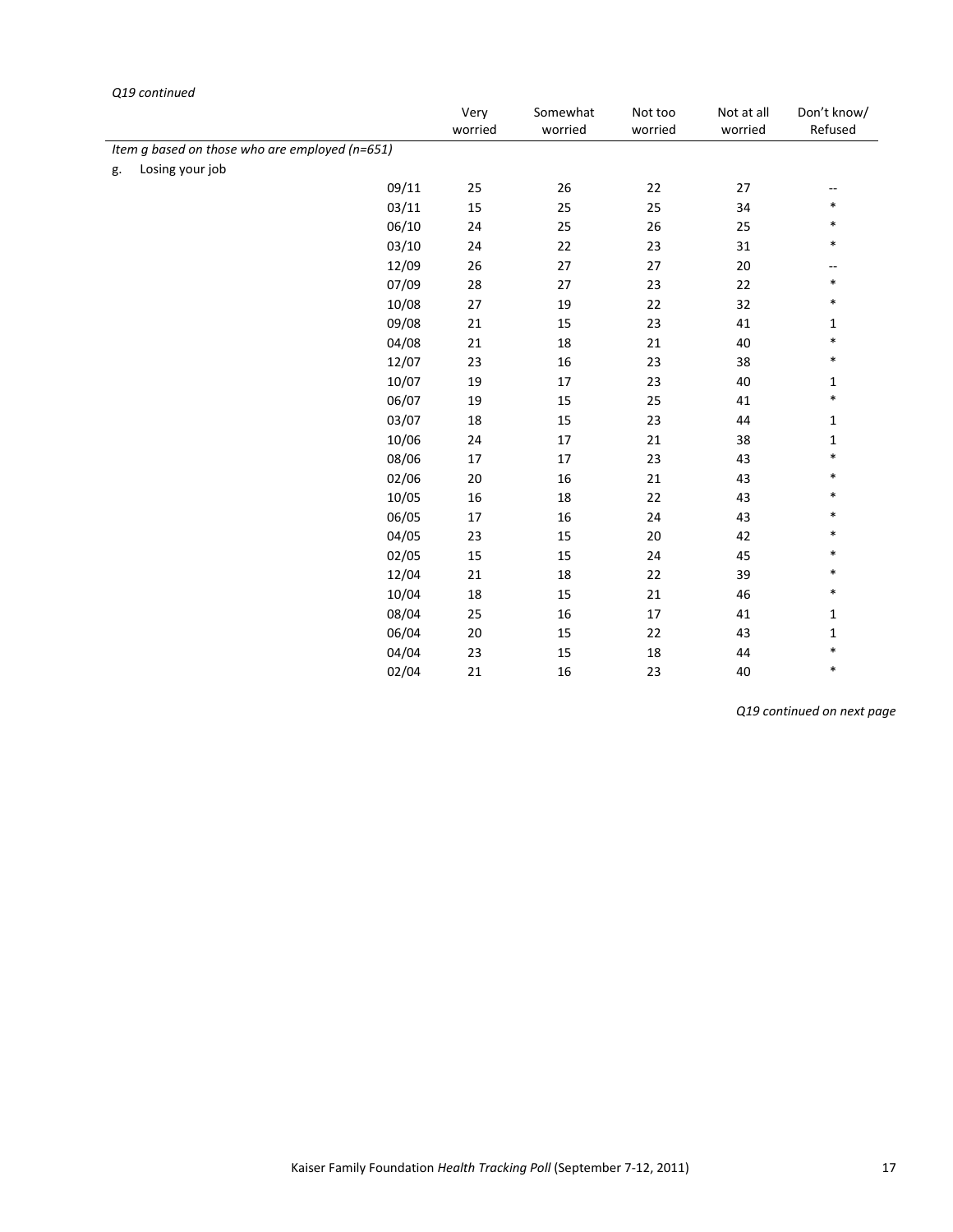|    | Q19 continued                                  |                 |                     |                    |                       |                        |
|----|------------------------------------------------|-----------------|---------------------|--------------------|-----------------------|------------------------|
|    |                                                | Very<br>worried | Somewhat<br>worried | Not too<br>worried | Not at all<br>worried | Don't know/<br>Refused |
|    | Item g based on those who are employed (n=651) |                 |                     |                    |                       |                        |
| g. | Losing your job                                |                 |                     |                    |                       |                        |
|    | 09/11                                          | 25              | 26                  | 22                 | 27                    | --                     |
|    | 03/11                                          | 15              | 25                  | 25                 | 34                    | $\ast$                 |
|    | 06/10                                          | 24              | 25                  | 26                 | 25                    | $\ast$                 |
|    | 03/10                                          | 24              | 22                  | 23                 | 31                    | $\ast$                 |
|    | 12/09                                          | 26              | 27                  | 27                 | 20                    | --                     |
|    | 07/09                                          | 28              | 27                  | 23                 | 22                    | $\ast$                 |
|    | 10/08                                          | 27              | 19                  | 22                 | 32                    | $\ast$                 |
|    | 09/08                                          | 21              | 15                  | 23                 | 41                    | $\mathbf{1}$           |
|    | 04/08                                          | 21              | 18                  | 21                 | 40                    | $\ast$                 |
|    | 12/07                                          | 23              | 16                  | 23                 | 38                    | $\ast$                 |
|    | 10/07                                          | 19              | 17                  | 23                 | 40                    | 1                      |
|    | 06/07                                          | 19              | 15                  | 25                 | 41                    | $\ast$                 |
|    | 03/07                                          | 18              | 15                  | 23                 | 44                    | $\mathbf{1}$           |
|    | 10/06                                          | 24              | $17\,$              | 21                 | 38                    | $\mathbf{1}$           |
|    | 08/06                                          | 17              | $17\,$              | 23                 | 43                    | $\ast$                 |
|    | 02/06                                          | 20              | 16                  | 21                 | 43                    | $\ast$                 |
|    | 10/05                                          | 16              | $18\,$              | 22                 | 43                    | $\ast$                 |
|    | 06/05                                          | 17              | 16                  | 24                 | 43                    | $\ast$                 |
|    | 04/05                                          | 23              | 15                  | 20                 | 42                    | $\ast$                 |
|    | 02/05                                          | 15              | 15                  | 24                 | 45                    | $\ast$                 |
|    | 12/04                                          | 21              | 18                  | 22                 | 39                    | $\ast$                 |
|    | 10/04                                          | 18              | 15                  | 21                 | 46                    | $\ast$                 |
|    | 08/04                                          | 25              | 16                  | 17                 | 41                    | 1                      |
|    | 06/04                                          | 20              | 15                  | 22                 | 43                    | $\mathbf{1}$           |
|    | 04/04                                          | 23              | 15                  | 18                 | 44                    | $\ast$                 |
|    | 02/04                                          | 21              | 16                  | 23                 | 40                    | $\ast$                 |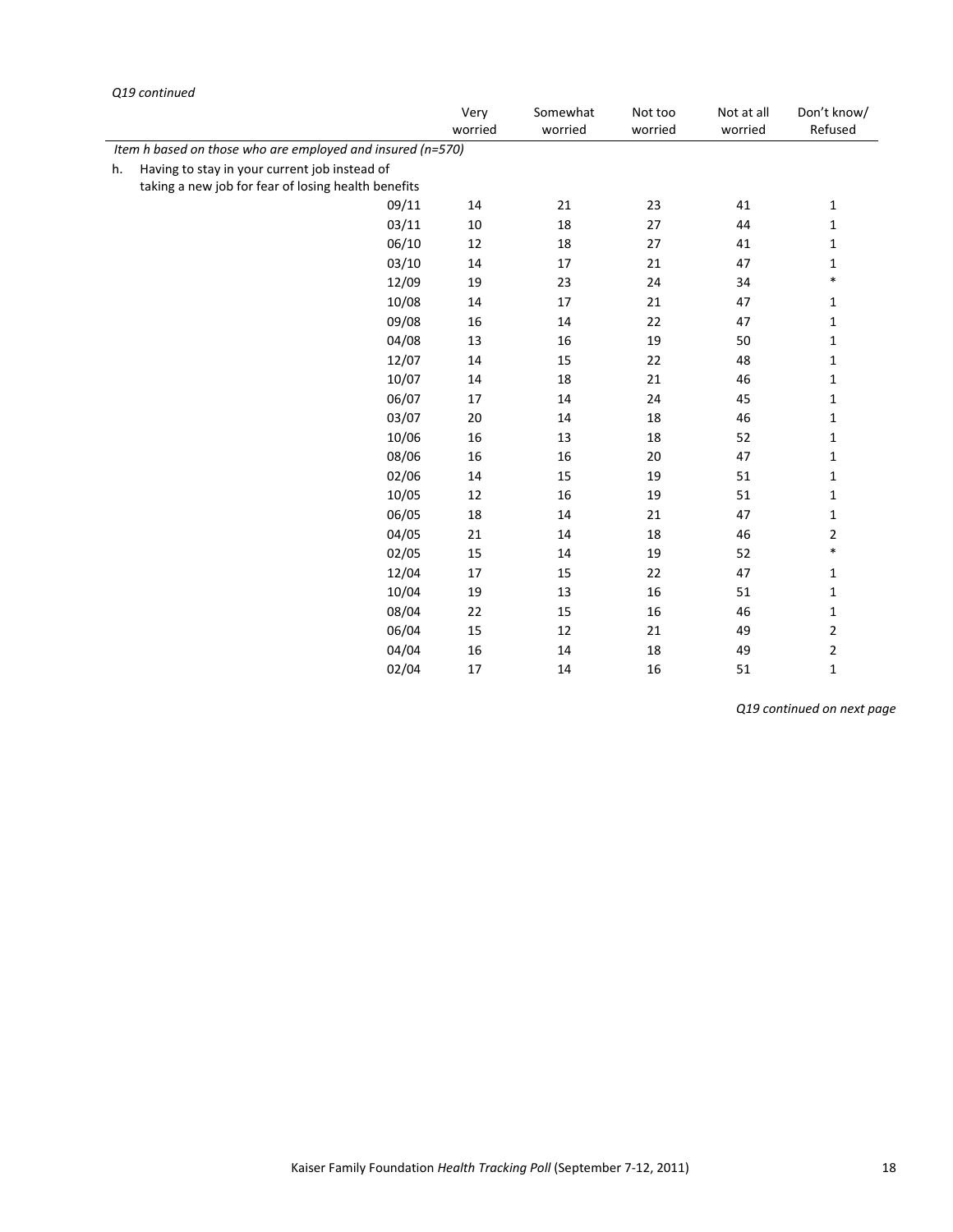|    | Q19 continued                                              |                 |                     |                    |                       |                         |
|----|------------------------------------------------------------|-----------------|---------------------|--------------------|-----------------------|-------------------------|
|    |                                                            | Very<br>worried | Somewhat<br>worried | Not too<br>worried | Not at all<br>worried | Don't know/<br>Refused  |
|    | Item h based on those who are employed and insured (n=570) |                 |                     |                    |                       |                         |
| h. | Having to stay in your current job instead of              |                 |                     |                    |                       |                         |
|    | taking a new job for fear of losing health benefits        |                 |                     |                    |                       |                         |
|    | 09/11                                                      | 14              | 21                  | 23                 | 41                    | $\mathbf{1}$            |
|    | 03/11                                                      | $10\,$          | 18                  | 27                 | 44                    | $\mathbf 1$             |
|    | 06/10                                                      | 12              | 18                  | 27                 | 41                    | $\mathbf{1}$            |
|    | 03/10                                                      | 14              | 17                  | 21                 | 47                    | $\mathbf{1}$            |
|    | 12/09                                                      | 19              | 23                  | 24                 | 34                    | $\ast$                  |
|    | 10/08                                                      | 14              | 17                  | 21                 | 47                    | 1                       |
|    | 09/08                                                      | 16              | 14                  | 22                 | 47                    | $\mathbf{1}$            |
|    | 04/08                                                      | 13              | 16                  | 19                 | 50                    | $\mathbf{1}$            |
|    | 12/07                                                      | $14\,$          | 15                  | 22                 | 48                    | $\mathbf{1}$            |
|    | 10/07                                                      | 14              | 18                  | 21                 | 46                    | 1                       |
|    | 06/07                                                      | 17              | 14                  | 24                 | 45                    | $\mathbf 1$             |
|    | 03/07                                                      | 20              | 14                  | 18                 | 46                    | $\mathbf{1}$            |
|    | 10/06                                                      | 16              | 13                  | 18                 | 52                    | 1                       |
|    | 08/06                                                      | 16              | 16                  | 20                 | 47                    | 1                       |
|    | 02/06                                                      | 14              | 15                  | 19                 | 51                    | $\mathbf{1}$            |
|    | 10/05                                                      | 12              | 16                  | 19                 | 51                    | $\mathbf{1}$            |
|    | 06/05                                                      | 18              | 14                  | 21                 | 47                    | $\mathbf{1}$            |
|    | 04/05                                                      | 21              | 14                  | 18                 | 46                    | $\overline{2}$          |
|    | 02/05                                                      | 15              | 14                  | 19                 | 52                    | $\ast$                  |
|    | 12/04                                                      | 17              | 15                  | 22                 | 47                    | $\mathbf{1}$            |
|    | 10/04                                                      | 19              | 13                  | 16                 | 51                    | $\mathbf{1}$            |
|    | 08/04                                                      | 22              | 15                  | 16                 | 46                    | 1                       |
|    | 06/04                                                      | 15              | 12                  | 21                 | 49                    | $\overline{\mathbf{c}}$ |
|    | 04/04                                                      | 16              | 14                  | 18                 | 49                    | $\mathbf 2$             |
|    | 02/04                                                      | 17              | 14                  | 16                 | 51                    | $\mathbf{1}$            |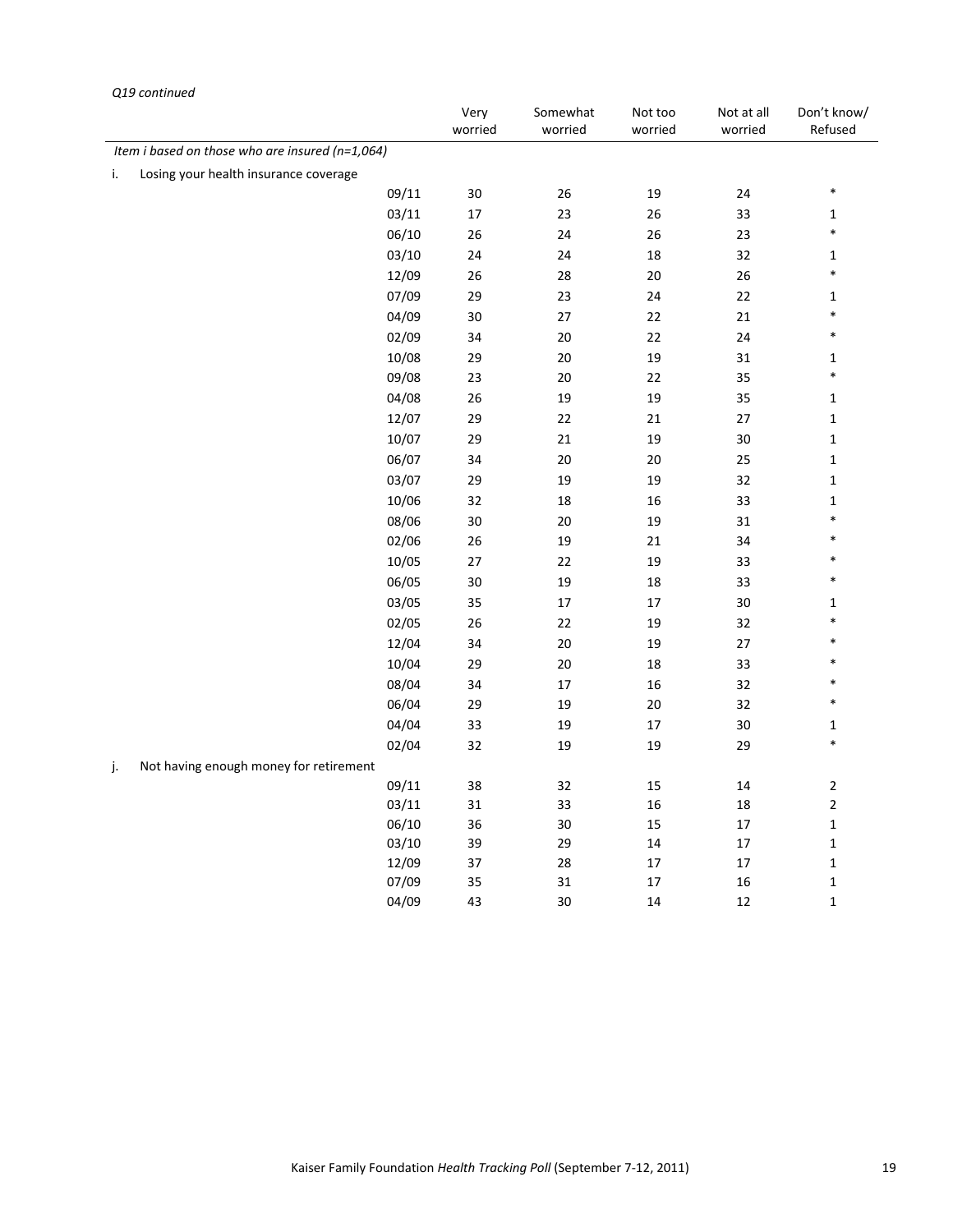|    | as communica                                    |       | Very    | Somewhat | Not too | Not at all | Don't know/  |
|----|-------------------------------------------------|-------|---------|----------|---------|------------|--------------|
|    |                                                 |       | worried | worried  | worried | worried    | Refused      |
|    | Item i based on those who are insured (n=1,064) |       |         |          |         |            |              |
| i. | Losing your health insurance coverage           |       |         |          |         |            |              |
|    |                                                 | 09/11 | 30      | 26       | 19      | 24         | $\ast$       |
|    |                                                 | 03/11 | $17\,$  | 23       | 26      | 33         | $\mathbf 1$  |
|    |                                                 | 06/10 | 26      | 24       | 26      | 23         | $\ast$       |
|    |                                                 | 03/10 | 24      | 24       | $18\,$  | 32         | $\mathbf{1}$ |
|    |                                                 | 12/09 | 26      | 28       | $20\,$  | 26         | $\ast$       |
|    |                                                 | 07/09 | 29      | 23       | 24      | 22         | $\mathbf{1}$ |
|    |                                                 | 04/09 | $30\,$  | $27\,$   | $22\,$  | $21\,$     | $\ast$       |
|    |                                                 | 02/09 | 34      | 20       | 22      | 24         | $\ast$       |
|    |                                                 | 10/08 | 29      | 20       | 19      | 31         | $\mathbf{1}$ |
|    |                                                 | 09/08 | 23      | 20       | 22      | 35         | $\ast$       |
|    |                                                 | 04/08 | 26      | 19       | 19      | 35         | $\mathbf{1}$ |
|    |                                                 | 12/07 | 29      | 22       | 21      | 27         | $\mathbf 1$  |
|    |                                                 | 10/07 | 29      | 21       | 19      | 30         | $\mathbf 1$  |
|    |                                                 | 06/07 | 34      | 20       | $20\,$  | 25         | $\mathbf 1$  |
|    |                                                 | 03/07 | 29      | 19       | 19      | 32         | $\mathbf 1$  |
|    |                                                 | 10/06 | 32      | 18       | 16      | 33         | $\mathbf{1}$ |
|    |                                                 | 08/06 | 30      | $20\,$   | 19      | 31         | $\ast$       |
|    |                                                 | 02/06 | 26      | 19       | $21\,$  | 34         | $\ast$       |
|    |                                                 | 10/05 | $27\,$  | 22       | 19      | 33         | $\ast$       |
|    |                                                 | 06/05 | $30\,$  | 19       | $18\,$  | 33         | $\ast$       |
|    |                                                 | 03/05 | 35      | $17\,$   | $17\,$  | $30\,$     | $\mathbf{1}$ |
|    |                                                 | 02/05 | 26      | 22       | 19      | 32         | $\ast$       |
|    |                                                 | 12/04 | 34      | $20\,$   | 19      | $27\,$     |              |
|    |                                                 | 10/04 | 29      | 20       | 18      | 33         | $\ast$       |
|    |                                                 | 08/04 | 34      | 17       | 16      | 32         | $\ast$       |
|    |                                                 | 06/04 | 29      | 19       | 20      | 32         | $\ast$       |
|    |                                                 | 04/04 | 33      | 19       | $17\,$  | 30         | $\mathbf{1}$ |
|    |                                                 | 02/04 | 32      | 19       | 19      | 29         | $\ast$       |
| j. | Not having enough money for retirement          |       |         |          |         |            |              |
|    |                                                 | 09/11 | 38      | 32       | 15      | $14\,$     | $\mathbf 2$  |
|    |                                                 | 03/11 | 31      | 33       | 16      | 18         | $\mathbf 2$  |
|    |                                                 | 06/10 | 36      | 30       | 15      | $17\,$     | $\mathbf 1$  |
|    |                                                 | 03/10 | 39      | 29       | 14      | 17         | $\mathbf 1$  |
|    |                                                 | 12/09 | 37      | 28       | $17\,$  | 17         | $\mathbf 1$  |
|    |                                                 | 07/09 | 35      | 31       | 17      | 16         | $\mathbf 1$  |
|    |                                                 | 04/09 | 43      | 30       | 14      | 12         | $\mathbf 1$  |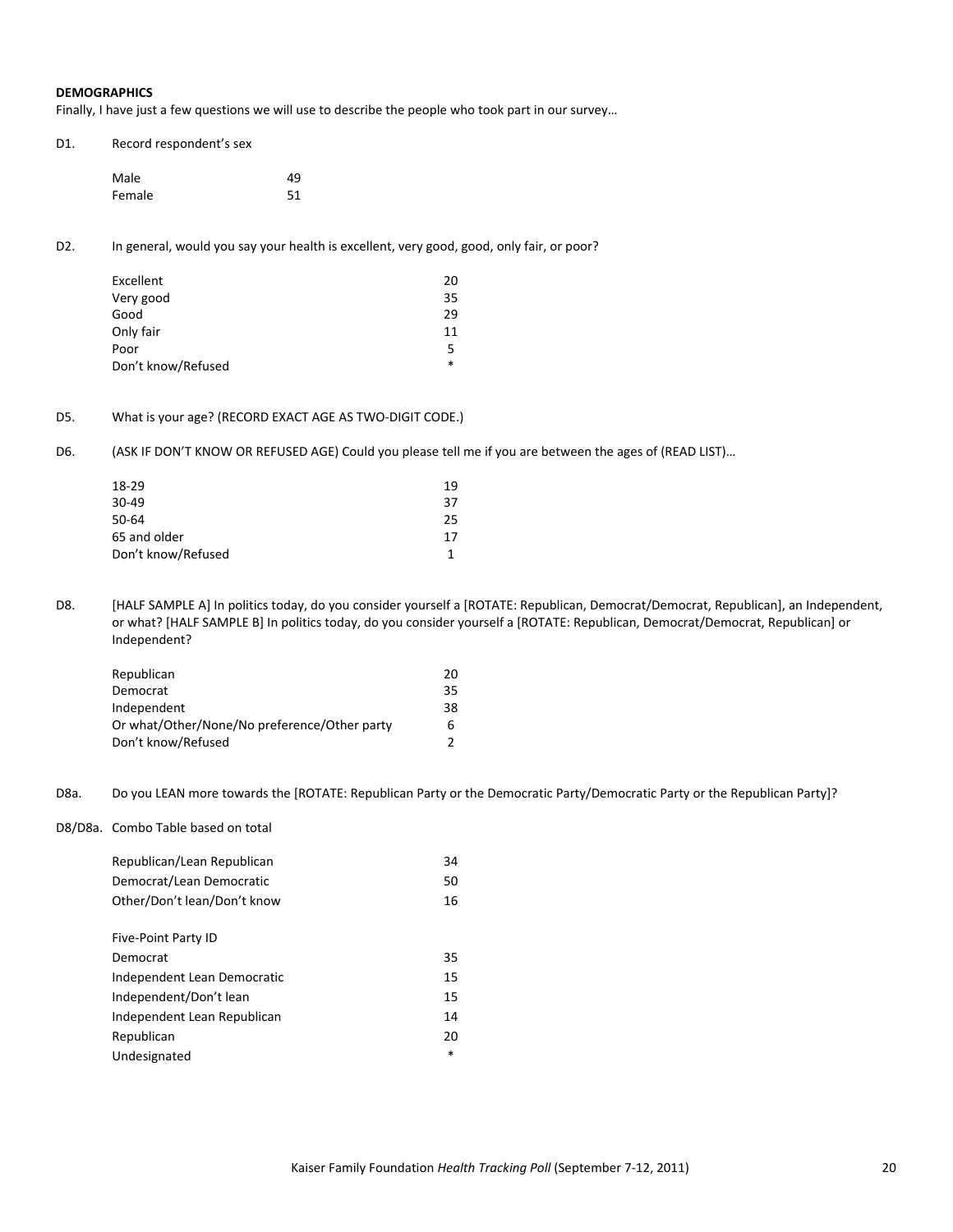#### **DEMOGRAPHICS**

Finally, I have just a few questions we will use to describe the people who took part in our survey…

| D1. | Record respondent's sex |    |
|-----|-------------------------|----|
|     | Male                    | 49 |
|     | Female                  | 51 |

D2. In general, would you say your health is excellent, very good, good, only fair, or poor?

| Excellent          | 20 |
|--------------------|----|
| Very good          | 35 |
| Good               | 29 |
| Only fair          | 11 |
| Poor               | 5  |
| Don't know/Refused | *  |

## D5. What is your age? (RECORD EXACT AGE AS TWO-DIGIT CODE.)

D6. (ASK IF DON'T KNOW OR REFUSED AGE) Could you please tell me if you are between the ages of (READ LIST)...

| 18-29              | 19 |
|--------------------|----|
| 30-49              | 37 |
| 50-64              | 25 |
| 65 and older       | 17 |
| Don't know/Refused |    |
|                    |    |

D8. [HALF SAMPLE A] In politics today, do you consider yourself a [ROTATE: Republican, Democrat/Democrat, Republican], an Independent, or what? [HALF SAMPLE B] In politics today, do you consider yourself a [ROTATE: Republican, Democrat/Democrat, Republican] or Independent?

| Republican                                   | 20 |
|----------------------------------------------|----|
| Democrat                                     | 35 |
| Independent                                  | 38 |
| Or what/Other/None/No preference/Other party |    |
| Don't know/Refused                           |    |

D8a. Do you LEAN more towards the [ROTATE: Republican Party or the Democratic Party/Democratic Party or the Republican Party]?

D8/D8a. Combo Table based on total

| Republican/Lean Republican  | 34 |
|-----------------------------|----|
| Democrat/Lean Democratic    | 50 |
| Other/Don't lean/Don't know | 16 |
|                             |    |
| Five-Point Party ID         |    |
| Democrat                    | 35 |
| Independent Lean Democratic | 15 |
| Independent/Don't lean      | 15 |
| Independent Lean Republican | 14 |
| Republican                  | 20 |
| Undesignated                | *  |
|                             |    |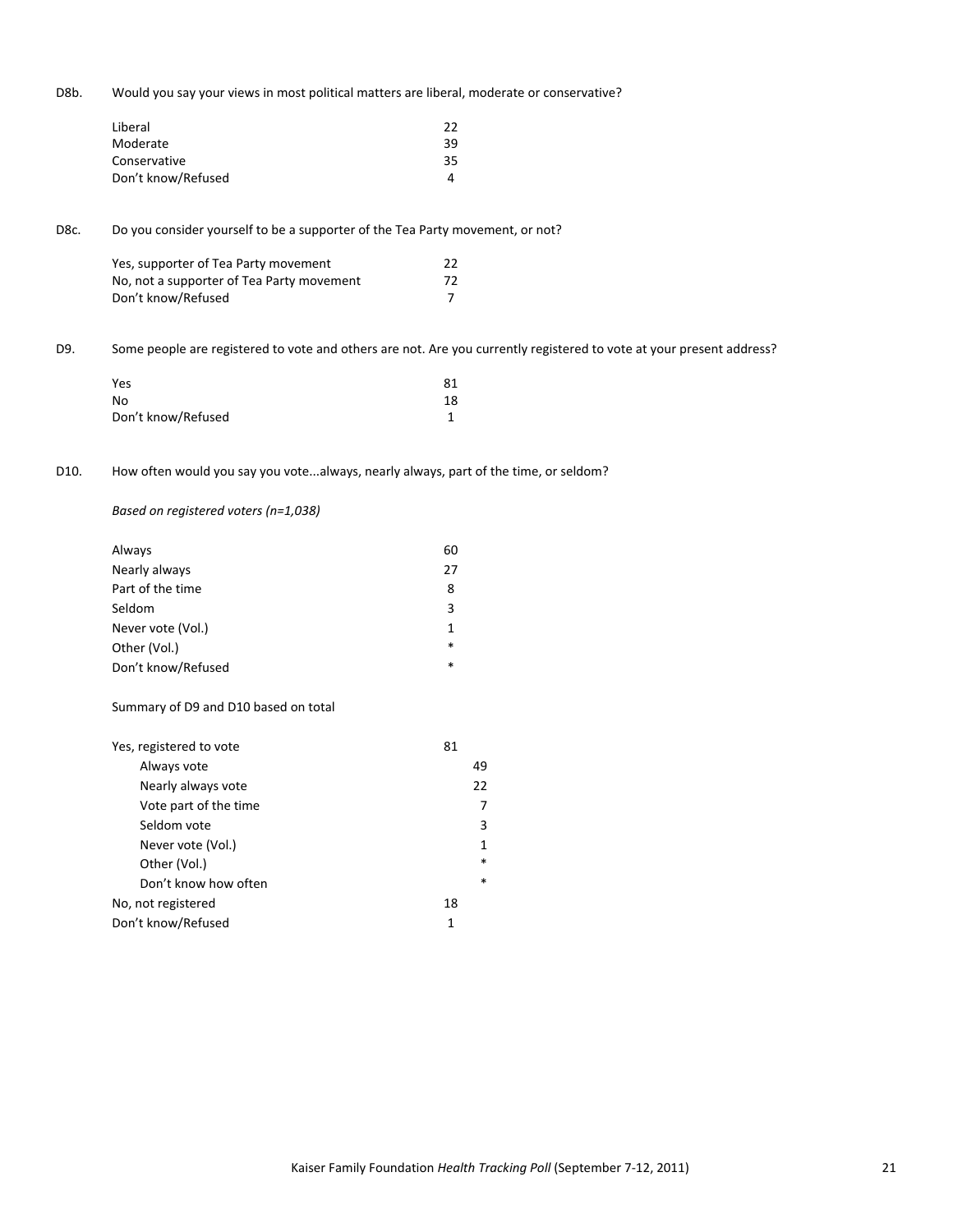D8b. Would you say your views in most political matters are liberal, moderate or conservative?

| Liberal            | 22 |
|--------------------|----|
| Moderate           | 39 |
| Conservative       | 35 |
| Don't know/Refused |    |

D8c. Do you consider yourself to be a supporter of the Tea Party movement, or not?

| Yes, supporter of Tea Party movement      | 22 |
|-------------------------------------------|----|
| No, not a supporter of Tea Party movement | 72 |
| Don't know/Refused                        |    |

D9. Some people are registered to vote and others are not. Are you currently registered to vote at your present address?

| Yes                | 81 |
|--------------------|----|
| No                 | 18 |
| Don't know/Refused |    |

# D10. How often would you say you vote...always, nearly always, part of the time, or seldom?

*Based on registered voters (n=1,038)*

| Always             | 60     |
|--------------------|--------|
| Nearly always      | 27     |
| Part of the time   | 8      |
| Seldom             | 3      |
| Never vote (Vol.)  |        |
| Other (Vol.)       | $\ast$ |
| Don't know/Refused | $\ast$ |

#### Summary of D9 and D10 based on total

| Yes, registered to vote | 81     |
|-------------------------|--------|
| Always vote             | 49     |
| Nearly always vote      | 22     |
| Vote part of the time   | 7      |
| Seldom vote             | 3      |
| Never vote (Vol.)       | 1      |
| Other (Vol.)            | $\ast$ |
| Don't know how often    | $\ast$ |
| No, not registered      | 18     |
| Don't know/Refused      | 1      |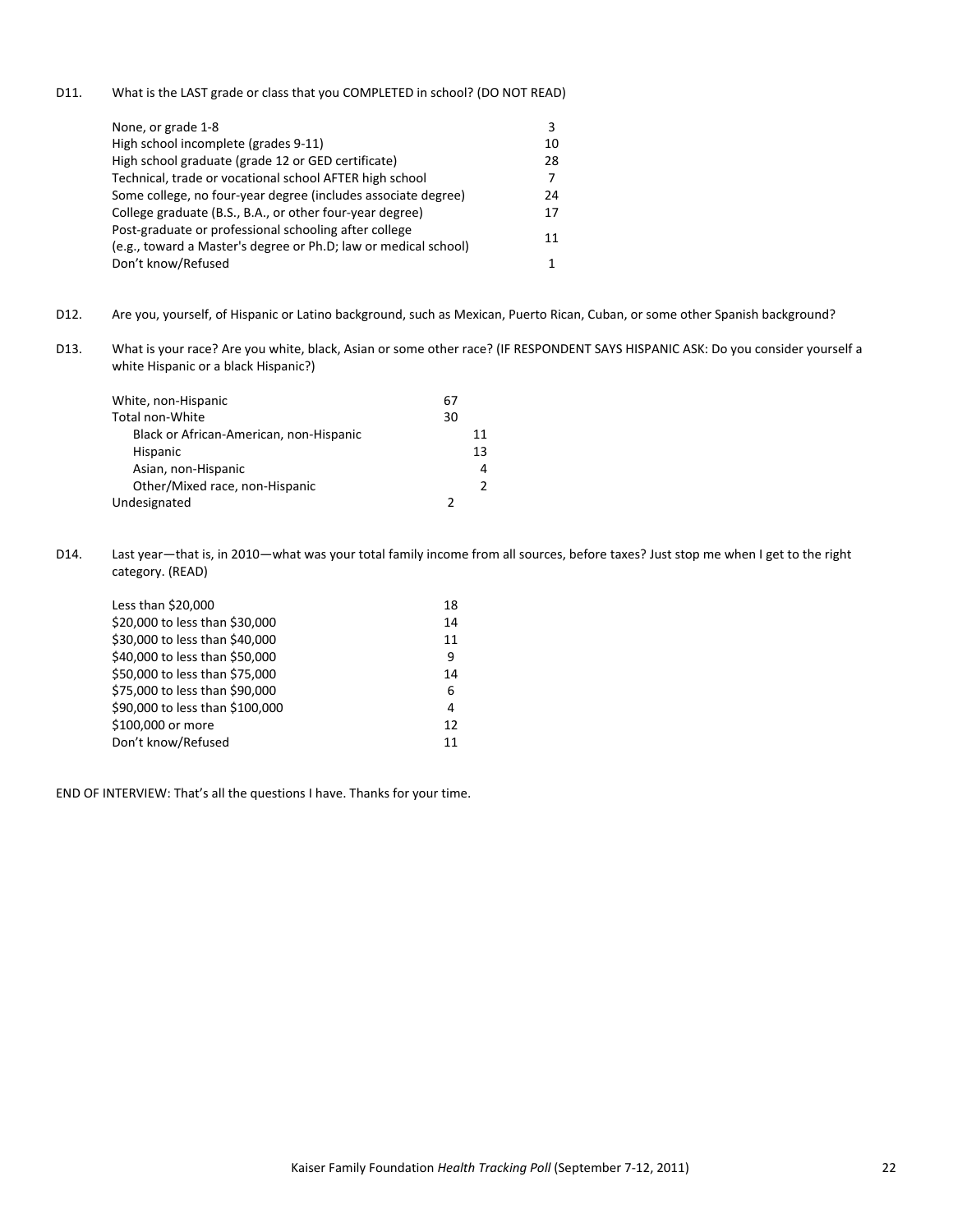D11. What is the LAST grade or class that you COMPLETED in school? (DO NOT READ)

| None, or grade 1-8                                                                                                       | 3  |
|--------------------------------------------------------------------------------------------------------------------------|----|
| High school incomplete (grades 9-11)                                                                                     | 10 |
| High school graduate (grade 12 or GED certificate)                                                                       | 28 |
| Technical, trade or vocational school AFTER high school                                                                  | 7  |
| Some college, no four-year degree (includes associate degree)                                                            | 24 |
| College graduate (B.S., B.A., or other four-year degree)                                                                 | 17 |
| Post-graduate or professional schooling after college<br>(e.g., toward a Master's degree or Ph.D; law or medical school) | 11 |
| Don't know/Refused                                                                                                       |    |

- D12. Are you, yourself, of Hispanic or Latino background, such as Mexican, Puerto Rican, Cuban, or some other Spanish background?
- D13. What is your race? Are you white, black, Asian or some other race? (IF RESPONDENT SAYS HISPANIC ASK: Do you consider yourself a white Hispanic or a black Hispanic?)

| White, non-Hispanic                     | 67 |    |
|-----------------------------------------|----|----|
| Total non-White                         | 30 |    |
| Black or African-American, non-Hispanic |    | 11 |
| Hispanic                                |    | 13 |
| Asian, non-Hispanic                     |    | 4  |
| Other/Mixed race, non-Hispanic          |    |    |
| Undesignated                            |    |    |

D14. Last year—that is, in 2010—what was your total family income from all sources, before taxes? Just stop me when I get to the right category. (READ)

| Less than \$20,000              | 18 |
|---------------------------------|----|
| \$20,000 to less than \$30,000  | 14 |
| \$30,000 to less than \$40,000  | 11 |
| \$40,000 to less than \$50,000  | 9  |
| \$50,000 to less than \$75,000  | 14 |
| \$75,000 to less than \$90,000  | 6  |
| \$90,000 to less than \$100,000 | 4  |
| \$100,000 or more               | 12 |
| Don't know/Refused              | 11 |
|                                 |    |

END OF INTERVIEW: That's all the questions I have. Thanks for your time.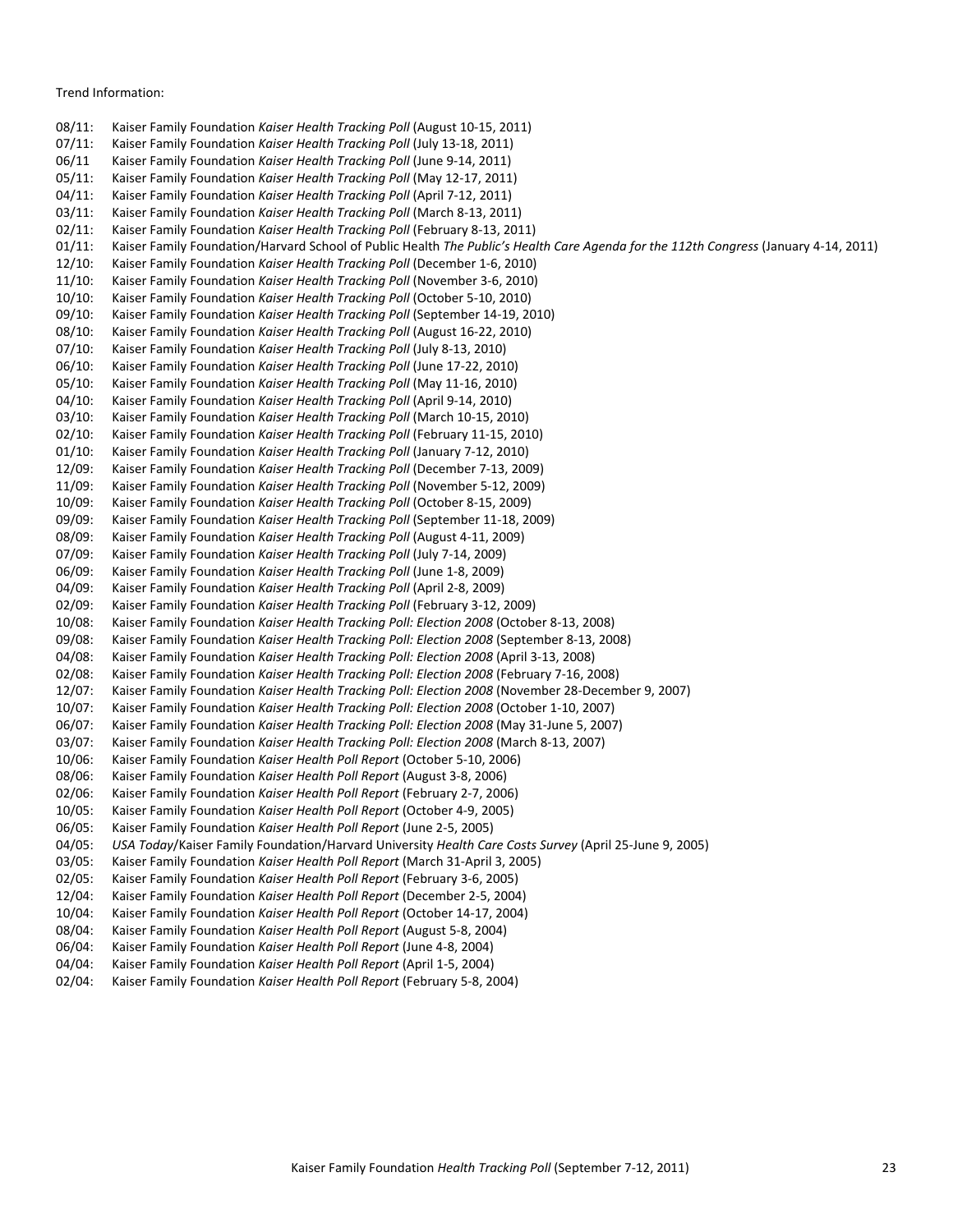#### Trend Information:

08/11: Kaiser Family Foundation *Kaiser Health Tracking Poll* (August 10‐15, 2011) 07/11: Kaiser Family Foundation *Kaiser Health Tracking Poll* (July 13‐18, 2011) 06/11 Kaiser Family Foundation *Kaiser Health Tracking Poll* (June 9‐14, 2011) 05/11: Kaiser Family Foundation *Kaiser Health Tracking Poll* (May 12‐17, 2011) 04/11: Kaiser Family Foundation *Kaiser Health Tracking Poll* (April 7‐12, 2011) 03/11: Kaiser Family Foundation *Kaiser Health Tracking Poll* (March 8‐13, 2011) 02/11: Kaiser Family Foundation *Kaiser Health Tracking Poll* (February 8‐13, 2011) 01/11: Kaiser Family Foundation/Harvard School of Public Health *The Public's Health Care Agenda for the 112th Congress* (January 4‐14, 2011) 12/10: Kaiser Family Foundation *Kaiser Health Tracking Poll* (December 1‐6, 2010) 11/10: Kaiser Family Foundation *Kaiser Health Tracking Poll* (November 3‐6, 2010) 10/10: Kaiser Family Foundation *Kaiser Health Tracking Poll* (October 5‐10, 2010) 09/10: Kaiser Family Foundation *Kaiser Health Tracking Poll* (September 14‐19, 2010) 08/10: Kaiser Family Foundation *Kaiser Health Tracking Poll* (August 16‐22, 2010) 07/10: Kaiser Family Foundation *Kaiser Health Tracking Poll* (July 8‐13, 2010) 06/10: Kaiser Family Foundation *Kaiser Health Tracking Poll* (June 17‐22, 2010) 05/10: Kaiser Family Foundation *Kaiser Health Tracking Poll* (May 11‐16, 2010) 04/10: Kaiser Family Foundation *Kaiser Health Tracking Poll* (April 9‐14, 2010) 03/10: Kaiser Family Foundation *Kaiser Health Tracking Poll* (March 10‐15, 2010) 02/10: Kaiser Family Foundation *Kaiser Health Tracking Poll* (February 11‐15, 2010) 01/10: Kaiser Family Foundation *Kaiser Health Tracking Poll* (January 7‐12, 2010) 12/09: Kaiser Family Foundation *Kaiser Health Tracking Poll* (December 7‐13, 2009) 11/09: Kaiser Family Foundation *Kaiser Health Tracking Poll* (November 5‐12, 2009) 10/09: Kaiser Family Foundation *Kaiser Health Tracking Poll* (October 8‐15, 2009) 09/09: Kaiser Family Foundation *Kaiser Health Tracking Poll* (September 11‐18, 2009) 08/09: Kaiser Family Foundation *Kaiser Health Tracking Poll* (August 4‐11, 2009) 07/09: Kaiser Family Foundation *Kaiser Health Tracking Poll* (July 7‐14, 2009) 06/09: Kaiser Family Foundation *Kaiser Health Tracking Poll* (June 1‐8, 2009) 04/09: Kaiser Family Foundation *Kaiser Health Tracking Poll* (April 2‐8, 2009) 02/09: Kaiser Family Foundation *Kaiser Health Tracking Poll* (February 3‐12, 2009) 10/08: Kaiser Family Foundation *Kaiser Health Tracking Poll: Election 2008* (October 8‐13, 2008) 09/08: Kaiser Family Foundation *Kaiser Health Tracking Poll: Election 2008* (September 8‐13, 2008) 04/08: Kaiser Family Foundation *Kaiser Health Tracking Poll: Election 2008* (April 3‐13, 2008) 02/08: Kaiser Family Foundation *Kaiser Health Tracking Poll: Election 2008* (February 7‐16, 2008) 12/07: Kaiser Family Foundation *Kaiser Health Tracking Poll: Election 2008* (November 28‐December 9, 2007) 10/07: Kaiser Family Foundation *Kaiser Health Tracking Poll: Election 2008* (October 1‐10, 2007) 06/07: Kaiser Family Foundation *Kaiser Health Tracking Poll: Election 2008* (May 31‐June 5, 2007) 03/07: Kaiser Family Foundation *Kaiser Health Tracking Poll: Election 2008* (March 8‐13, 2007) 10/06: Kaiser Family Foundation *Kaiser Health Poll Report* (October 5‐10, 2006) 08/06: Kaiser Family Foundation *Kaiser Health Poll Report* (August 3‐8, 2006) 02/06: Kaiser Family Foundation *Kaiser Health Poll Report* (February 2‐7, 2006) 10/05: Kaiser Family Foundation *Kaiser Health Poll Report* (October 4‐9, 2005) 06/05: Kaiser Family Foundation *Kaiser Health Poll Report* (June 2‐5, 2005) 04/05: *USA Today*/Kaiser Family Foundation/Harvard University *Health Care Costs Survey* (April 25‐June 9, 2005) 03/05: Kaiser Family Foundation *Kaiser Health Poll Report* (March 31‐April 3, 2005) 02/05: Kaiser Family Foundation *Kaiser Health Poll Report* (February 3‐6, 2005) 12/04: Kaiser Family Foundation *Kaiser Health Poll Report* (December 2‐5, 2004) 10/04: Kaiser Family Foundation *Kaiser Health Poll Report* (October 14‐17, 2004) 08/04: Kaiser Family Foundation *Kaiser Health Poll Report* (August 5‐8, 2004) 06/04: Kaiser Family Foundation *Kaiser Health Poll Report* (June 4‐8, 2004) 04/04: Kaiser Family Foundation *Kaiser Health Poll Report* (April 1‐5, 2004) 02/04: Kaiser Family Foundation *Kaiser Health Poll Report* (February 5‐8, 2004)